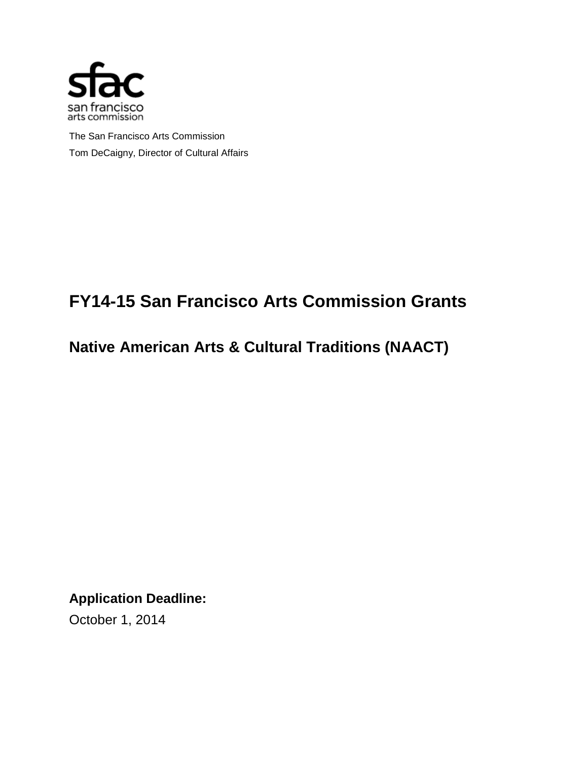

The San Francisco Arts Commission Tom DeCaigny, Director of Cultural Affairs

# **FY14-15 San Francisco Arts Commission Grants**

**Native American Arts & Cultural Traditions (NAACT)**

**Application Deadline:** 

October 1, 2014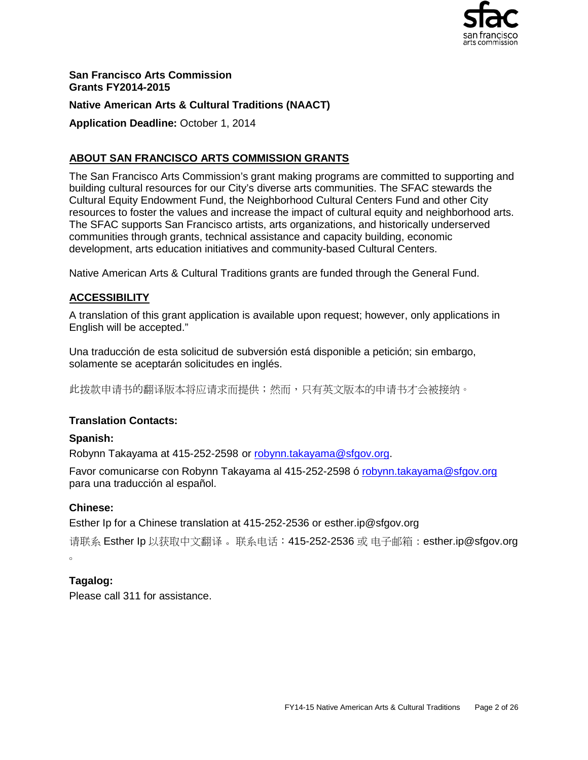

**San Francisco Arts Commission Grants FY2014-2015**

## **Native American Arts & Cultural Traditions (NAACT)**

**Application Deadline:** October 1, 2014

## **ABOUT SAN FRANCISCO ARTS COMMISSION GRANTS**

The San Francisco Arts Commission's grant making programs are committed to supporting and building cultural resources for our City's diverse arts communities. The SFAC stewards the Cultural Equity Endowment Fund, the Neighborhood Cultural Centers Fund and other City resources to foster the values and increase the impact of cultural equity and neighborhood arts. The SFAC supports San Francisco artists, arts organizations, and historically underserved communities through grants, technical assistance and capacity building, economic development, arts education initiatives and community-based Cultural Centers.

Native American Arts & Cultural Traditions grants are funded through the General Fund.

## **ACCESSIBILITY**

A translation of this grant application is available upon request; however, only applications in English will be accepted."

Una traducción de esta solicitud de subversión está disponible a petición; sin embargo, solamente se aceptarán solicitudes en inglés.

此拨款申请书的翻译版本将应请求而提供;然而,只有英文版本的申请书才会被接纳。

## **Translation Contacts:**

#### **Spanish:**

Robynn Takayama at 415-252-2598 or [robynn.takayama@sfgov.org.](mailto:robynn.takayama@sfgov.org)

Favor comunicarse con Robynn Takayama al 415-252-2598 ó robynn.takayama@sfgov.org para una traducción al español.

#### **Chinese:**

Esther Ip for a Chinese translation at 415-252-2536 or esther.ip@sfgov.org

```
请联系 Esther Ip 以获取中文翻译。 联系电话: 415-252-2536 或 电子邮箱:esther.ip@sfgov.org
。
```
## **Tagalog:**

Please call 311 for assistance.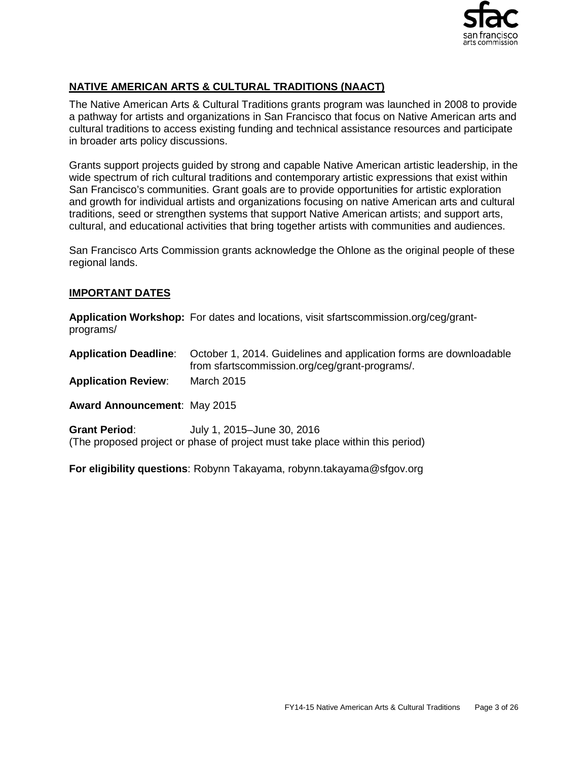

## **NATIVE AMERICAN ARTS & CULTURAL TRADITIONS (NAACT)**

The Native American Arts & Cultural Traditions grants program was launched in 2008 to provide a pathway for artists and organizations in San Francisco that focus on Native American arts and cultural traditions to access existing funding and technical assistance resources and participate in broader arts policy discussions.

Grants support projects guided by strong and capable Native American artistic leadership, in the wide spectrum of rich cultural traditions and contemporary artistic expressions that exist within San Francisco's communities. Grant goals are to provide opportunities for artistic exploration and growth for individual artists and organizations focusing on native American arts and cultural traditions, seed or strengthen systems that support Native American artists; and support arts, cultural, and educational activities that bring together artists with communities and audiences.

San Francisco Arts Commission grants acknowledge the Ohlone as the original people of these regional lands.

## **IMPORTANT DATES**

**Application Workshop:** For dates and locations, visit sfartscommission.org/ceg/grantprograms/

**Application Deadline**: October 1, 2014. Guidelines and application forms are downloadable from sfartscommission.org/ceg/grant-programs/.

**Application Review**: March 2015

**Award Announcement**: May 2015

**Grant Period**: July 1, 2015–June 30, 2016 (The proposed project or phase of project must take place within this period)

**For eligibility questions**: Robynn Takayama, [robynn.takayama@sfgov.org](mailto:weston.teruya@sfgov.org)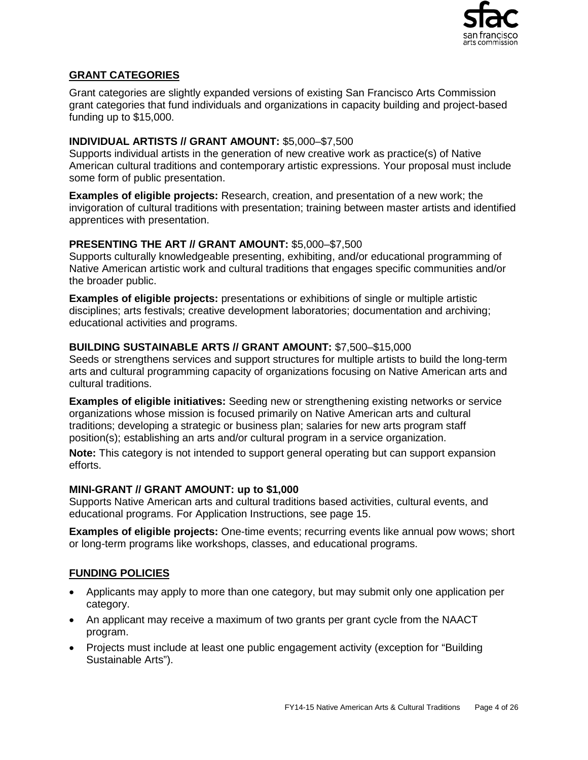

## **GRANT CATEGORIES**

Grant categories are slightly expanded versions of existing San Francisco Arts Commission grant categories that fund individuals and organizations in capacity building and project-based funding up to \$15,000.

## **INDIVIDUAL ARTISTS // GRANT AMOUNT:** \$5,000–\$7,500

Supports individual artists in the generation of new creative work as practice(s) of Native American cultural traditions and contemporary artistic expressions. Your proposal must include some form of public presentation.

**Examples of eligible projects:** Research, creation, and presentation of a new work; the invigoration of cultural traditions with presentation; training between master artists and identified apprentices with presentation.

## **PRESENTING THE ART // GRANT AMOUNT:** \$5,000–\$7,500

Supports culturally knowledgeable presenting, exhibiting, and/or educational programming of Native American artistic work and cultural traditions that engages specific communities and/or the broader public.

**Examples of eligible projects:** presentations or exhibitions of single or multiple artistic disciplines; arts festivals; creative development laboratories; documentation and archiving; educational activities and programs.

## **BUILDING SUSTAINABLE ARTS // GRANT AMOUNT:** \$7,500–\$15,000

Seeds or strengthens services and support structures for multiple artists to build the long-term arts and cultural programming capacity of organizations focusing on Native American arts and cultural traditions.

**Examples of eligible initiatives:** Seeding new or strengthening existing networks or service organizations whose mission is focused primarily on Native American arts and cultural traditions; developing a strategic or business plan; salaries for new arts program staff position(s); establishing an arts and/or cultural program in a service organization.

**Note:** This category is not intended to support general operating but can support expansion efforts.

## **MINI-GRANT // GRANT AMOUNT: up to \$1,000**

Supports Native American arts and cultural traditions based activities, cultural events, and educational programs. For Application Instructions, see page 15.

**Examples of eligible projects:** One-time events; recurring events like annual pow wows; short or long-term programs like workshops, classes, and educational programs.

## **FUNDING POLICIES**

- Applicants may apply to more than one category, but may submit only one application per category.
- An applicant may receive a maximum of two grants per grant cycle from the NAACT program.
- Projects must include at least one public engagement activity (exception for "Building" Sustainable Arts").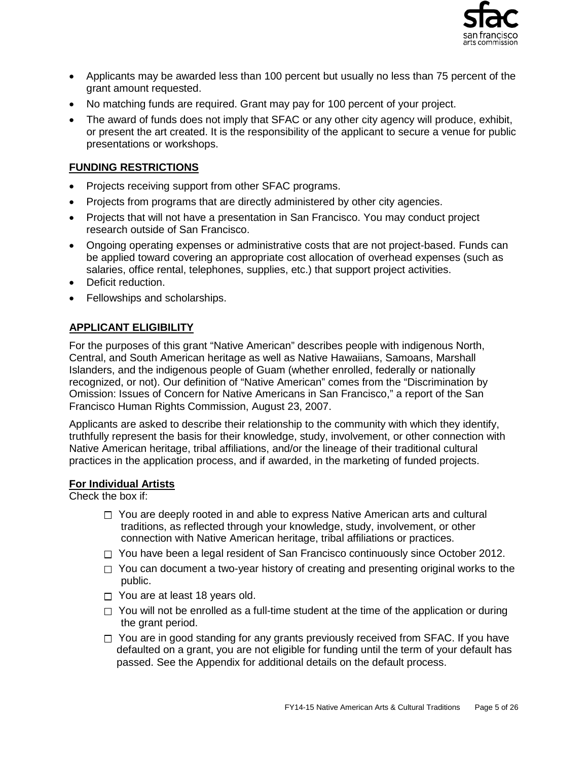

- Applicants may be awarded less than 100 percent but usually no less than 75 percent of the grant amount requested.
- No matching funds are required. Grant may pay for 100 percent of your project.
- The award of funds does not imply that SFAC or any other city agency will produce, exhibit, or present the art created. It is the responsibility of the applicant to secure a venue for public presentations or workshops.

## **FUNDING RESTRICTIONS**

- Projects receiving support from other SFAC programs.
- Projects from programs that are directly administered by other city agencies.
- Projects that will not have a presentation in San Francisco. You may conduct project research outside of San Francisco.
- Ongoing operating expenses or administrative costs that are not project-based. Funds can be applied toward covering an appropriate cost allocation of overhead expenses (such as salaries, office rental, telephones, supplies, etc.) that support project activities.
- Deficit reduction.
- Fellowships and scholarships.

## **APPLICANT ELIGIBILITY**

For the purposes of this grant "Native American" describes people with indigenous North, Central, and South American heritage as well as Native Hawaiians, Samoans, Marshall Islanders, and the indigenous people of Guam (whether enrolled, federally or nationally recognized, or not). Our definition of "Native American" comes from the "Discrimination by Omission: Issues of Concern for Native Americans in San Francisco," a report of the San Francisco Human Rights Commission, August 23, 2007.

Applicants are asked to describe their relationship to the community with which they identify, truthfully represent the basis for their knowledge, study, involvement, or other connection with Native American heritage, tribal affiliations, and/or the lineage of their traditional cultural practices in the application process, and if awarded, in the marketing of funded projects.

#### **For Individual Artists**

Check the box if:

- $\Box$  You are deeply rooted in and able to express Native American arts and cultural traditions, as reflected through your knowledge, study, involvement, or other connection with Native American heritage, tribal affiliations or practices.
- $\Box$  You have been a legal resident of San Francisco continuously since October 2012.
- $\Box$  You can document a two-year history of creating and presenting original works to the public.
- $\Box$  You are at least 18 years old.
- $\Box$  You will not be enrolled as a full-time student at the time of the application or during the grant period.
- $\Box$  You are in good standing for any grants previously received from SFAC. If you have defaulted on a grant, you are not eligible for funding until the term of your default has passed. See the Appendix for additional details on the default process.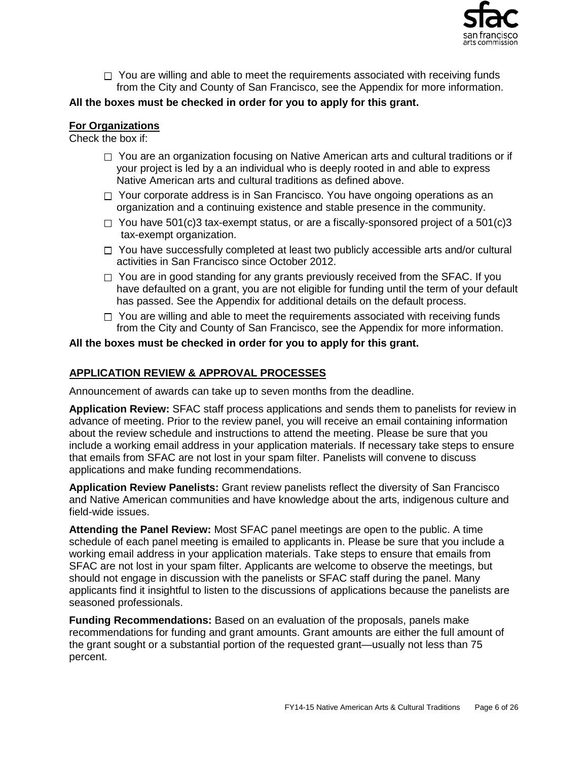

 $\Box$  You are willing and able to meet the requirements associated with receiving funds from the City and County of San Francisco, see the Appendix for more information.

## **All the boxes must be checked in order for you to apply for this grant.**

#### **For Organizations**

Check the box if:

- $\Box$  You are an organization focusing on Native American arts and cultural traditions or if your project is led by a an individual who is deeply rooted in and able to express Native American arts and cultural traditions as defined above.
- $\Box$  Your corporate address is in San Francisco. You have ongoing operations as an organization and a continuing existence and stable presence in the community.
- $\Box$  You have 501(c)3 tax-exempt status, or are a fiscally-sponsored project of a 501(c)3 tax-exempt organization.
- $\Box$  You have successfully completed at least two publicly accessible arts and/or cultural activities in San Francisco since October 2012.
- $\Box$  You are in good standing for any grants previously received from the SFAC. If you have defaulted on a grant, you are not eligible for funding until the term of your default has passed. See the Appendix for additional details on the default process.
- $\Box$  You are willing and able to meet the requirements associated with receiving funds from the City and County of San Francisco, see the Appendix for more information.

#### **All the boxes must be checked in order for you to apply for this grant.**

#### **APPLICATION REVIEW & APPROVAL PROCESSES**

Announcement of awards can take up to seven months from the deadline.

**Application Review:** SFAC staff process applications and sends them to panelists for review in advance of meeting. Prior to the review panel, you will receive an email containing information about the review schedule and instructions to attend the meeting. Please be sure that you include a working email address in your application materials. If necessary take steps to ensure that emails from SFAC are not lost in your spam filter. Panelists will convene to discuss applications and make funding recommendations.

**Application Review Panelists:** Grant review panelists reflect the diversity of San Francisco and Native American communities and have knowledge about the arts, indigenous culture and field-wide issues.

**Attending the Panel Review:** Most SFAC panel meetings are open to the public. A time schedule of each panel meeting is emailed to applicants in. Please be sure that you include a working email address in your application materials. Take steps to ensure that emails from SFAC are not lost in your spam filter. Applicants are welcome to observe the meetings, but should not engage in discussion with the panelists or SFAC staff during the panel. Many applicants find it insightful to listen to the discussions of applications because the panelists are seasoned professionals.

**Funding Recommendations:** Based on an evaluation of the proposals, panels make recommendations for funding and grant amounts. Grant amounts are either the full amount of the grant sought or a substantial portion of the requested grant—usually not less than 75 percent.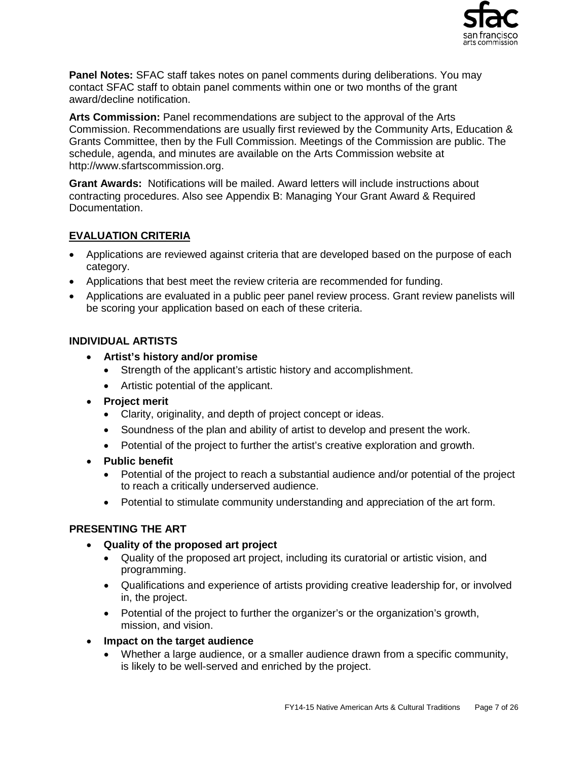

**Panel Notes:** SFAC staff takes notes on panel comments during deliberations. You may contact SFAC staff to obtain panel comments within one or two months of the grant award/decline notification.

**Arts Commission:** Panel recommendations are subject to the approval of the Arts Commission. Recommendations are usually first reviewed by the Community Arts, Education & Grants Committee, then by the Full Commission. Meetings of the Commission are public. The schedule, agenda, and minutes are available on the Arts Commission website at http://www.sfartscommission.org.

**Grant Awards:** Notifications will be mailed. Award letters will include instructions about contracting procedures. Also see Appendix B: Managing Your Grant Award & Required Documentation.

## **EVALUATION CRITERIA**

- Applications are reviewed against criteria that are developed based on the purpose of each category.
- Applications that best meet the review criteria are recommended for funding.
- Applications are evaluated in a public peer panel review process. Grant review panelists will be scoring your application based on each of these criteria.

## **INDIVIDUAL ARTISTS**

- **Artist's history and/or promise**
	- Strength of the applicant's artistic history and accomplishment.
	- Artistic potential of the applicant.
- **Project merit**
	- Clarity, originality, and depth of project concept or ideas.
	- Soundness of the plan and ability of artist to develop and present the work.
	- Potential of the project to further the artist's creative exploration and growth.
- **Public benefit**
	- Potential of the project to reach a substantial audience and/or potential of the project to reach a critically underserved audience.
	- Potential to stimulate community understanding and appreciation of the art form.

## **PRESENTING THE ART**

- **Quality of the proposed art project**
	- Quality of the proposed art project, including its curatorial or artistic vision, and programming.
	- Qualifications and experience of artists providing creative leadership for, or involved in, the project.
	- Potential of the project to further the organizer's or the organization's growth, mission, and vision.
- **Impact on the target audience**
	- Whether a large audience, or a smaller audience drawn from a specific community, is likely to be well-served and enriched by the project.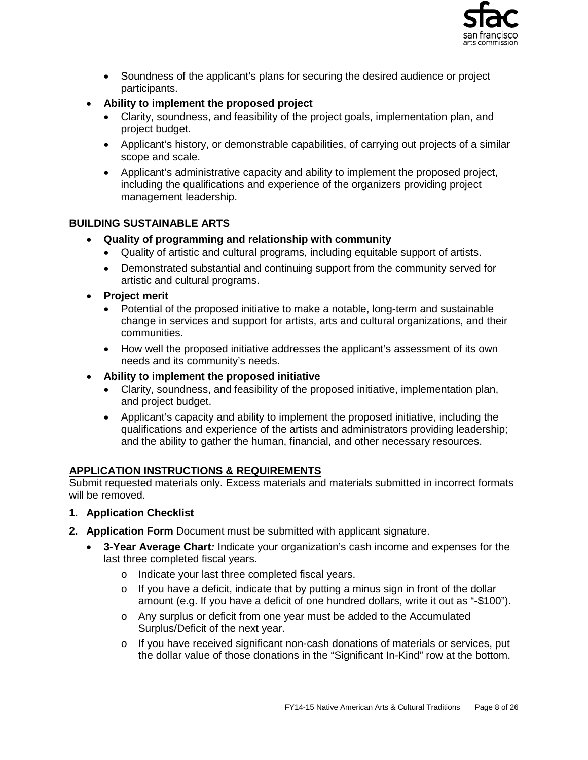

- Soundness of the applicant's plans for securing the desired audience or project participants.
- **Ability to implement the proposed project**
	- Clarity, soundness, and feasibility of the project goals, implementation plan, and project budget.
	- Applicant's history, or demonstrable capabilities, of carrying out projects of a similar scope and scale.
	- Applicant's administrative capacity and ability to implement the proposed project, including the qualifications and experience of the organizers providing project management leadership.

## **BUILDING SUSTAINABLE ARTS**

- **Quality of programming and relationship with community**
	- Quality of artistic and cultural programs, including equitable support of artists.
	- Demonstrated substantial and continuing support from the community served for artistic and cultural programs.
- **Project merit**
	- Potential of the proposed initiative to make a notable, long-term and sustainable change in services and support for artists, arts and cultural organizations, and their communities.
	- How well the proposed initiative addresses the applicant's assessment of its own needs and its community's needs.
- **Ability to implement the proposed initiative**
	- Clarity, soundness, and feasibility of the proposed initiative, implementation plan, and project budget.
	- Applicant's capacity and ability to implement the proposed initiative, including the qualifications and experience of the artists and administrators providing leadership; and the ability to gather the human, financial, and other necessary resources.

## **APPLICATION INSTRUCTIONS & REQUIREMENTS**

Submit requested materials only. Excess materials and materials submitted in incorrect formats will be removed.

- **1. Application Checklist**
- **2. Application Form** Document must be submitted with applicant signature.
	- **3-Year Average Chart***:* Indicate your organization's cash income and expenses for the last three completed fiscal years.
		- o Indicate your last three completed fiscal years.
		- o If you have a deficit, indicate that by putting a minus sign in front of the dollar amount (e.g. If you have a deficit of one hundred dollars, write it out as "-\$100").
		- o Any surplus or deficit from one year must be added to the Accumulated Surplus/Deficit of the next year.
		- o If you have received significant non-cash donations of materials or services, put the dollar value of those donations in the "Significant In-Kind" row at the bottom.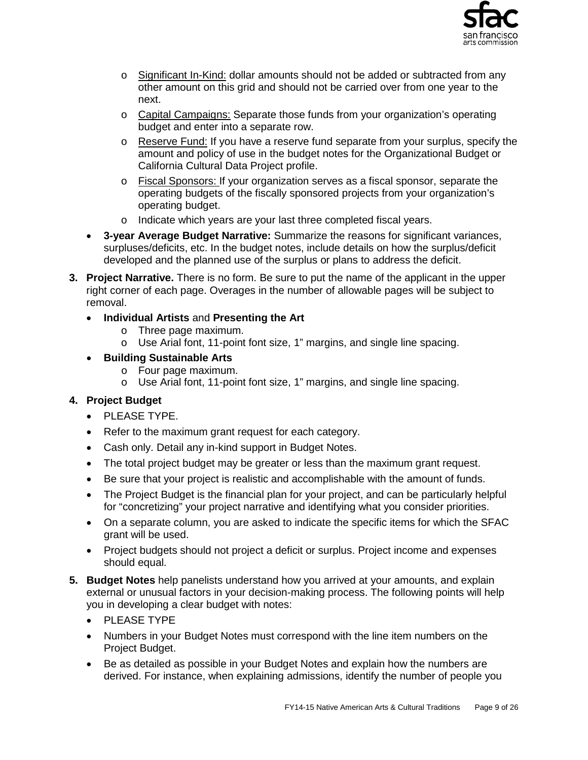

- o Significant In-Kind: dollar amounts should not be added or subtracted from any other amount on this grid and should not be carried over from one year to the next.
- o Capital Campaigns: Separate those funds from your organization's operating budget and enter into a separate row.
- $\circ$  Reserve Fund: If you have a reserve fund separate from your surplus, specify the amount and policy of use in the budget notes for the Organizational Budget or California Cultural Data Project profile.
- o Fiscal Sponsors: If your organization serves as a fiscal sponsor, separate the operating budgets of the fiscally sponsored projects from your organization's operating budget.
- o Indicate which years are your last three completed fiscal years.
- **3-year Average Budget Narrative:** Summarize the reasons for significant variances, surpluses/deficits, etc. In the budget notes, include details on how the surplus/deficit developed and the planned use of the surplus or plans to address the deficit.
- **3. Project Narrative.** There is no form. Be sure to put the name of the applicant in the upper right corner of each page. Overages in the number of allowable pages will be subject to removal.
	- **Individual Artists** and **Presenting the Art**
		- o Three page maximum.
		- o Use Arial font, 11-point font size, 1" margins, and single line spacing.
	- **Building Sustainable Arts**
		- o Four page maximum.
		- o Use Arial font, 11-point font size, 1" margins, and single line spacing.

## **4. Project Budget**

- PLEASE TYPE.
- Refer to the maximum grant request for each category.
- Cash only. Detail any in-kind support in Budget Notes.
- The total project budget may be greater or less than the maximum grant request.
- Be sure that your project is realistic and accomplishable with the amount of funds.
- The Project Budget is the financial plan for your project, and can be particularly helpful for "concretizing" your project narrative and identifying what you consider priorities.
- On a separate column, you are asked to indicate the specific items for which the SFAC grant will be used.
- Project budgets should not project a deficit or surplus. Project income and expenses should equal.
- **5. Budget Notes** help panelists understand how you arrived at your amounts, and explain external or unusual factors in your decision-making process. The following points will help you in developing a clear budget with notes:
	- PLEASE TYPE
	- Numbers in your Budget Notes must correspond with the line item numbers on the Project Budget.
	- Be as detailed as possible in your Budget Notes and explain how the numbers are derived. For instance, when explaining admissions, identify the number of people you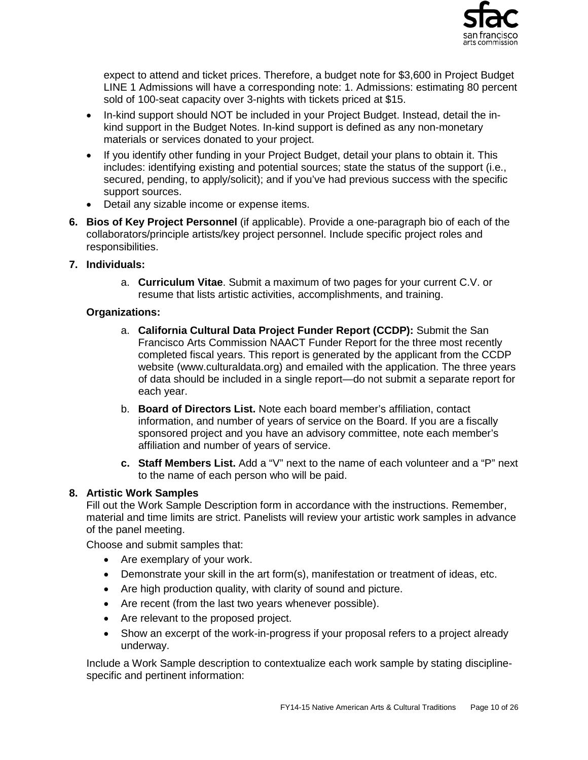

expect to attend and ticket prices. Therefore, a budget note for \$3,600 in Project Budget LINE 1 Admissions will have a corresponding note: 1. Admissions: estimating 80 percent sold of 100-seat capacity over 3-nights with tickets priced at \$15.

- In-kind support should NOT be included in your Project Budget. Instead, detail the inkind support in the Budget Notes. In-kind support is defined as any non-monetary materials or services donated to your project.
- If you identify other funding in your Project Budget, detail your plans to obtain it. This includes: identifying existing and potential sources; state the status of the support (i.e., secured, pending, to apply/solicit); and if you've had previous success with the specific support sources.
- Detail any sizable income or expense items.
- **6. Bios of Key Project Personnel** (if applicable). Provide a one-paragraph bio of each of the collaborators/principle artists/key project personnel. Include specific project roles and responsibilities.
- **7. Individuals:** 
	- a. **Curriculum Vitae**. Submit a maximum of two pages for your current C.V. or resume that lists artistic activities, accomplishments, and training.

## **Organizations:**

- a. **California Cultural Data Project Funder Report (CCDP):** Submit the San Francisco Arts Commission NAACT Funder Report for the three most recently completed fiscal years. This report is generated by the applicant from the CCDP website (www.culturaldata.org) and emailed with the application. The three years of data should be included in a single report—do not submit a separate report for each year.
- b. **Board of Directors List.** Note each board member's affiliation, contact information, and number of years of service on the Board. If you are a fiscally sponsored project and you have an advisory committee, note each member's affiliation and number of years of service.
- **c. Staff Members List.** Add a "V" next to the name of each volunteer and a "P" next to the name of each person who will be paid.

## **8. Artistic Work Samples**

Fill out the Work Sample Description form in accordance with the instructions. Remember, material and time limits are strict. Panelists will review your artistic work samples in advance of the panel meeting.

Choose and submit samples that:

- Are exemplary of your work.
- Demonstrate your skill in the art form(s), manifestation or treatment of ideas, etc.
- Are high production quality, with clarity of sound and picture.
- Are recent (from the last two years whenever possible).
- Are relevant to the proposed project.
- Show an excerpt of the work-in-progress if your proposal refers to a project already underway.

Include a Work Sample description to contextualize each work sample by stating disciplinespecific and pertinent information: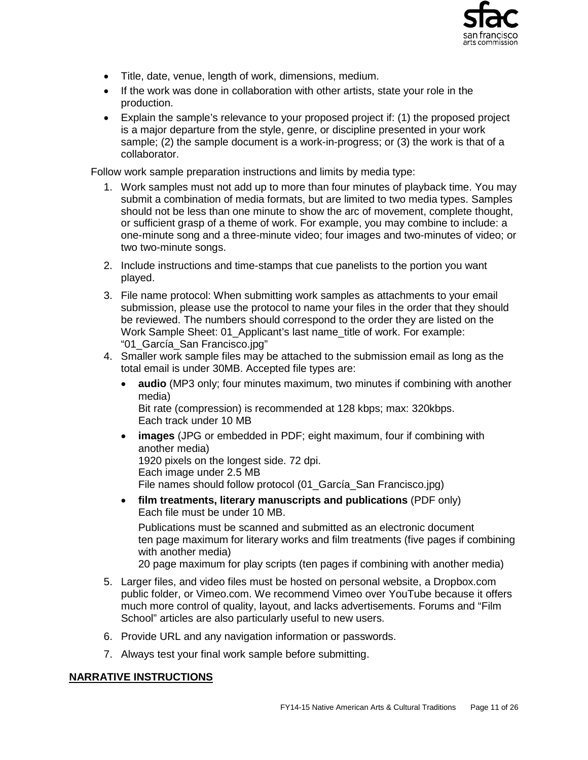

- Title, date, venue, length of work, dimensions, medium.
- If the work was done in collaboration with other artists, state your role in the production.
- Explain the sample's relevance to your proposed project if: (1) the proposed project is a major departure from the style, genre, or discipline presented in your work sample; (2) the sample document is a work-in-progress; or (3) the work is that of a collaborator.

Follow work sample preparation instructions and limits by media type:

- 1. Work samples must not add up to more than four minutes of playback time. You may submit a combination of media formats, but are limited to two media types. Samples should not be less than one minute to show the arc of movement, complete thought, or sufficient grasp of a theme of work. For example, you may combine to include: a one-minute song and a three-minute video; four images and two-minutes of video; or two two-minute songs.
- 2. Include instructions and time-stamps that cue panelists to the portion you want played.
- 3. File name protocol: When submitting work samples as attachments to your email submission, please use the protocol to name your files in the order that they should be reviewed. The numbers should correspond to the order they are listed on the Work Sample Sheet: 01\_Applicant's last name\_title of work. For example: "01\_García\_San Francisco.jpg"
- 4. Smaller work sample files may be attached to the submission email as long as the total email is under 30MB. Accepted file types are:
	- **audio** (MP3 only; four minutes maximum, two minutes if combining with another media) Bit rate (compression) is recommended at 128 kbps; max: 320kbps.
	- Each track under 10 MB • **images** (JPG or embedded in PDF; eight maximum, four if combining with another media) 1920 pixels on the longest side. 72 dpi. Each image under 2.5 MB

File names should follow protocol (01\_García\_San Francisco.jpg)

• **film treatments, literary manuscripts and publications** (PDF only) Each file must be under 10 MB.

Publications must be scanned and submitted as an electronic document ten page maximum for literary works and film treatments (five pages if combining with another media)

20 page maximum for play scripts (ten pages if combining with another media)

- 5. Larger files, and video files must be hosted on personal website, a Dropbox.com public folder, or Vimeo.com. We recommend Vimeo over YouTube because it offers much more control of quality, layout, and lacks advertisements. Forums and "Film School" articles are also particularly useful to new users.
- 6. Provide URL and any navigation information or passwords.
- 7. Always test your final work sample before submitting.

## **NARRATIVE INSTRUCTIONS**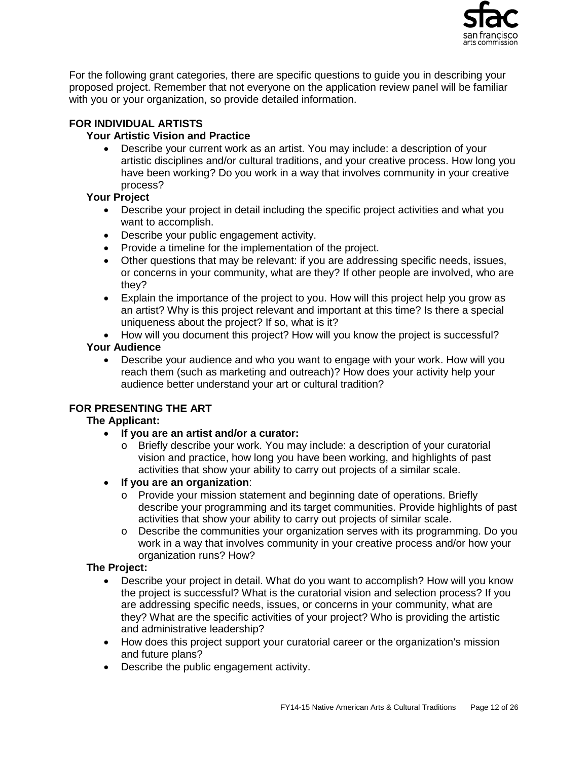

For the following grant categories, there are specific questions to guide you in describing your proposed project. Remember that not everyone on the application review panel will be familiar with you or your organization, so provide detailed information.

## **FOR INDIVIDUAL ARTISTS**

## **Your Artistic Vision and Practice**

• Describe your current work as an artist. You may include: a description of your artistic disciplines and/or cultural traditions, and your creative process. How long you have been working? Do you work in a way that involves community in your creative process?

## **Your Project**

- Describe your project in detail including the specific project activities and what you want to accomplish.
- Describe your public engagement activity.
- Provide a timeline for the implementation of the project.
- Other questions that may be relevant: if you are addressing specific needs, issues, or concerns in your community, what are they? If other people are involved, who are they?
- Explain the importance of the project to you. How will this project help you grow as an artist? Why is this project relevant and important at this time? Is there a special uniqueness about the project? If so, what is it?
- How will you document this project? How will you know the project is successful?

## **Your Audience**

• Describe your audience and who you want to engage with your work. How will you reach them (such as marketing and outreach)? How does your activity help your audience better understand your art or cultural tradition?

## **FOR PRESENTING THE ART**

## **The Applicant:**

- **If you are an artist and/or a curator:** 
	- o Briefly describe your work. You may include: a description of your curatorial vision and practice, how long you have been working, and highlights of past activities that show your ability to carry out projects of a similar scale.
- **If you are an organization**:
	- o Provide your mission statement and beginning date of operations. Briefly describe your programming and its target communities. Provide highlights of past activities that show your ability to carry out projects of similar scale.
	- o Describe the communities your organization serves with its programming. Do you work in a way that involves community in your creative process and/or how your organization runs? How?

## **The Project:**

- Describe your project in detail. What do you want to accomplish? How will you know the project is successful? What is the curatorial vision and selection process? If you are addressing specific needs, issues, or concerns in your community, what are they? What are the specific activities of your project? Who is providing the artistic and administrative leadership?
- How does this project support your curatorial career or the organization's mission and future plans?
- Describe the public engagement activity.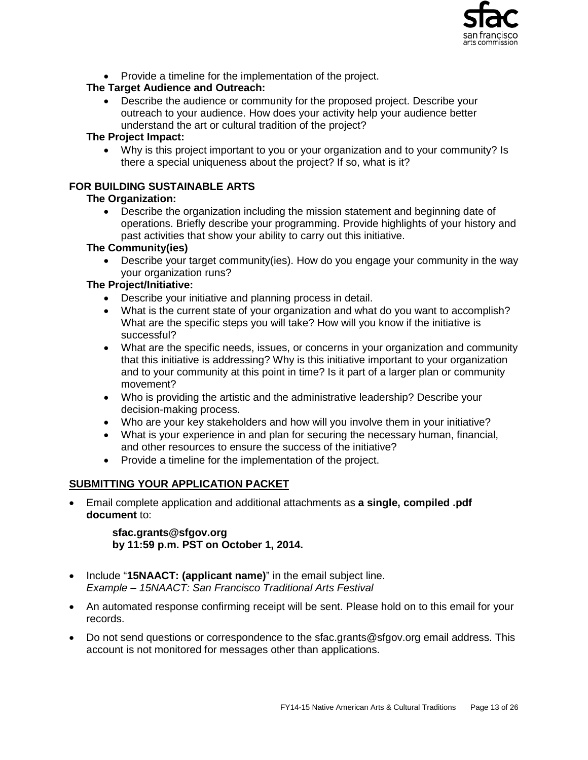

• Provide a timeline for the implementation of the project.

## **The Target Audience and Outreach:**

• Describe the audience or community for the proposed project. Describe your outreach to your audience. How does your activity help your audience better understand the art or cultural tradition of the project?

## **The Project Impact:**

• Why is this project important to you or your organization and to your community? Is there a special uniqueness about the project? If so, what is it?

## **FOR BUILDING SUSTAINABLE ARTS**

## **The Organization:**

• Describe the organization including the mission statement and beginning date of operations. Briefly describe your programming. Provide highlights of your history and past activities that show your ability to carry out this initiative.

## **The Community(ies)**

• Describe your target community(ies). How do you engage your community in the way your organization runs?

## **The Project/Initiative:**

- Describe your initiative and planning process in detail.
- What is the current state of your organization and what do you want to accomplish? What are the specific steps you will take? How will you know if the initiative is successful?
- What are the specific needs, issues, or concerns in your organization and community that this initiative is addressing? Why is this initiative important to your organization and to your community at this point in time? Is it part of a larger plan or community movement?
- Who is providing the artistic and the administrative leadership? Describe your decision-making process.
- Who are your key stakeholders and how will you involve them in your initiative?
- What is your experience in and plan for securing the necessary human, financial, and other resources to ensure the success of the initiative?
- Provide a timeline for the implementation of the project.

## **SUBMITTING YOUR APPLICATION PACKET**

• Email complete application and additional attachments as **a single, compiled .pdf document** to:

> **sfac.grants@sfgov.org by 11:59 p.m. PST on October 1, 2014.**

- Include "**15NAACT: (applicant name)**" in the email subject line. *Example – 15NAACT: San Francisco Traditional Arts Festival*
- An automated response confirming receipt will be sent. Please hold on to this email for your records.
- Do not send questions or correspondence to the sfac.grants@sfgov.org email address. This account is not monitored for messages other than applications.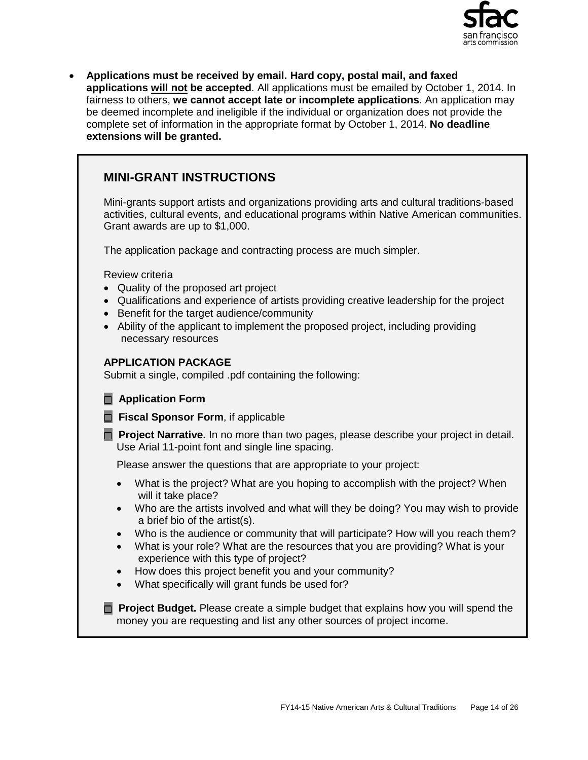

• **Applications must be received by email. Hard copy, postal mail, and faxed applications will not be accepted**. All applications must be emailed by October 1, 2014. In fairness to others, **we cannot accept late or incomplete applications**. An application may be deemed incomplete and ineligible if the individual or organization does not provide the complete set of information in the appropriate format by October 1, 2014. **No deadline extensions will be granted.**

## **MINI-GRANT INSTRUCTIONS**

Mini-grants support artists and organizations providing arts and cultural traditions-based activities, cultural events, and educational programs within Native American communities. Grant awards are up to \$1,000.

The application package and contracting process are much simpler.

Review criteria

- Quality of the proposed art project
- Qualifications and experience of artists providing creative leadership for the project
- Benefit for the target audience/community
- Ability of the applicant to implement the proposed project, including providing necessary resources

#### **APPLICATION PACKAGE**

Submit a single, compiled .pdf containing the following:

## **Application Form**

**Fiscal Sponsor Form**, if applicable

**Project Narrative.** In no more than two pages, please describe your project in detail. Use Arial 11-point font and single line spacing.

Please answer the questions that are appropriate to your project:

- What is the project? What are you hoping to accomplish with the project? When will it take place?
- Who are the artists involved and what will they be doing? You may wish to provide a brief bio of the artist(s).
- Who is the audience or community that will participate? How will you reach them?
- What is your role? What are the resources that you are providing? What is your experience with this type of project?
- How does this project benefit you and your community?
- What specifically will grant funds be used for?

**Proiect Budget.** Please create a simple budget that explains how you will spend the money you are requesting and list any other sources of project income.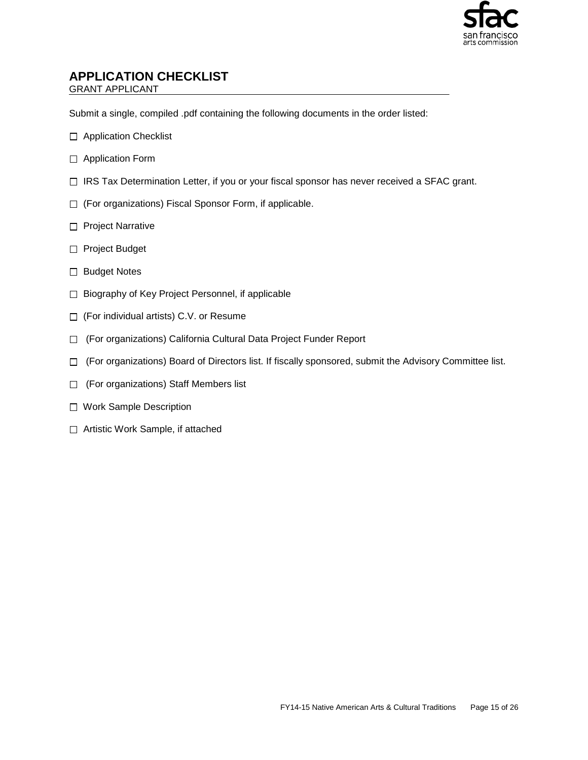

## **APPLICATION CHECKLIST**

GRANT APPLICANT

Submit a single, compiled .pdf containing the following documents in the order listed:

- □ Application Checklist
- □ Application Form
- □ IRS Tax Determination Letter, if you or your fiscal sponsor has never received a SFAC grant.
- □ (For organizations) Fiscal Sponsor Form, if applicable.
- □ Project Narrative
- □ Project Budget
- □ Budget Notes
- □ Biography of Key Project Personnel, if applicable
- □ (For individual artists) C.V. or Resume
- □ (For organizations) California Cultural Data Project Funder Report
- $\Box$  (For organizations) Board of Directors list. If fiscally sponsored, submit the Advisory Committee list.
- For organizations) Staff Members list
- □ Work Sample Description
- □ Artistic Work Sample, if attached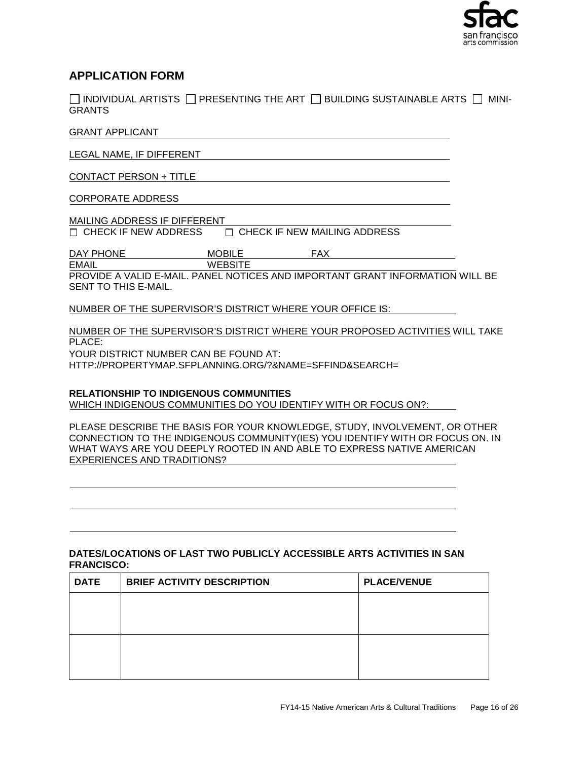

## **APPLICATION FORM**

 $\Box$  INDIVIDUAL ARTISTS  $\Box$  PRESENTING THE ART  $\Box$  BUILDING SUSTAINABLE ARTS  $\Box$  MINI-GRANTS

#### GRANT APPLICANT

LEGAL NAME, IF DIFFERENT

CONTACT PERSON + TITLE

#### CORPORATE ADDRESS

MAILING ADDRESS IF DIFFERENT<br>  $\begin{array}{ccc}\n\Box & \text{CHECK IF NEW ADDRESS} & \text{C} \\
\end{array}$  $\Box$  CHECK IF NEW MAILING ADDRESS

DAY PHONE MOBILE FAX<br>EMAIL WEBSITE

WEBSITE PROVIDE A VALID E-MAIL. PANEL NOTICES AND IMPORTANT GRANT INFORMATION WILL BE

SENT TO THIS E-MAIL.

NUMBER OF THE SUPERVISOR'S DISTRICT WHERE YOUR OFFICE IS:

NUMBER OF THE SUPERVISOR'S DISTRICT WHERE YOUR PROPOSED ACTIVITIES WILL TAKE PLACE:

YOUR DISTRICT NUMBER CAN BE FOUND AT: HTTP://PROPERTYMAP.SFPLANNING.ORG/?&NAME=SFFIND&SEARCH=

#### **RELATIONSHIP TO INDIGENOUS COMMUNITIES**

WHICH INDIGENOUS COMMUNITIES DO YOU IDENTIFY WITH OR FOCUS ON?:

PLEASE DESCRIBE THE BASIS FOR YOUR KNOWLEDGE, STUDY, INVOLVEMENT, OR OTHER CONNECTION TO THE INDIGENOUS COMMUNITY(IES) YOU IDENTIFY WITH OR FOCUS ON. IN WHAT WAYS ARE YOU DEEPLY ROOTED IN AND ABLE TO EXPRESS NATIVE AMERICAN EXPERIENCES AND TRADITIONS?

#### **DATES/LOCATIONS OF LAST TWO PUBLICLY ACCESSIBLE ARTS ACTIVITIES IN SAN FRANCISCO:**

| <b>DATE</b> | <b>BRIEF ACTIVITY DESCRIPTION</b> | <b>PLACE/VENUE</b> |
|-------------|-----------------------------------|--------------------|
|             |                                   |                    |
|             |                                   |                    |
|             |                                   |                    |
|             |                                   |                    |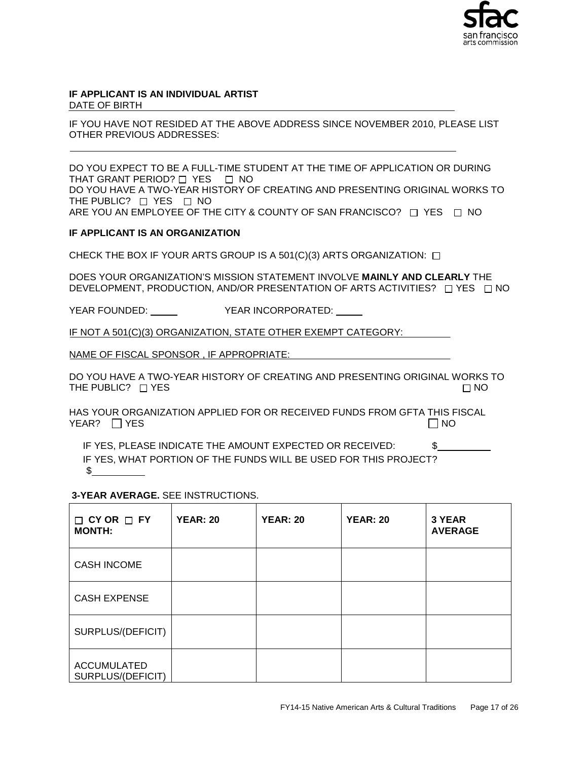

#### **IF APPLICANT IS AN INDIVIDUAL ARTIST** DATE OF BIRTH

IF YOU HAVE NOT RESIDED AT THE ABOVE ADDRESS SINCE NOVEMBER 2010, PLEASE LIST OTHER PREVIOUS ADDRESSES:

DO YOU EXPECT TO BE A FULL-TIME STUDENT AT THE TIME OF APPLICATION OR DURING THAT GRANT PERIOD?  $\Box$  YES  $\Box$  NO DO YOU HAVE A TWO-YEAR HISTORY OF CREATING AND PRESENTING ORIGINAL WORKS TO THE PUBLIC?  $\Box$  YES  $\Box$  NO ARE YOU AN EMPLOYEE OF THE CITY & COUNTY OF SAN FRANCISCO?  $\Box$  YES  $\Box$  NO

#### **IF APPLICANT IS AN ORGANIZATION**

CHECK THE BOX IF YOUR ARTS GROUP IS A 501(C)(3) ARTS ORGANIZATION:  $\Box$ 

DOES YOUR ORGANIZATION'S MISSION STATEMENT INVOLVE **MAINLY AND CLEARLY** THE DEVELOPMENT, PRODUCTION, AND/OR PRESENTATION OF ARTS ACTIVITIES?  $\Box$  YES  $\Box$  NO

YEAR FOUNDED: YEAR INCORPORATED:

IF NOT A 501(C)(3) ORGANIZATION, STATE OTHER EXEMPT CATEGORY:

NAME OF FISCAL SPONSOR , IF APPROPRIATE:

DO YOU HAVE A TWO-YEAR HISTORY OF CREATING AND PRESENTING ORIGINAL WORKS TO THE PUBLIC?  $\Box$  YES  $\Box$  NO

HAS YOUR ORGANIZATION APPLIED FOR OR RECEIVED FUNDS FROM GFTA THIS FISCAL YEAR? YES NO

IF YES, PLEASE INDICATE THE AMOUNT EXPECTED OR RECEIVED: \$ IF YES, WHAT PORTION OF THE FUNDS WILL BE USED FOR THIS PROJECT?  $\sim$ 

**3-YEAR AVERAGE.** SEE INSTRUCTIONS.

| $\Box$ CY OR $\Box$ FY<br><b>MONTH:</b> | <b>YEAR: 20</b> | <b>YEAR: 20</b> | <b>YEAR: 20</b> | 3 YEAR<br><b>AVERAGE</b> |
|-----------------------------------------|-----------------|-----------------|-----------------|--------------------------|
| <b>CASH INCOME</b>                      |                 |                 |                 |                          |
| <b>CASH EXPENSE</b>                     |                 |                 |                 |                          |
| SURPLUS/(DEFICIT)                       |                 |                 |                 |                          |
| <b>ACCUMULATED</b><br>SURPLUS/(DEFICIT) |                 |                 |                 |                          |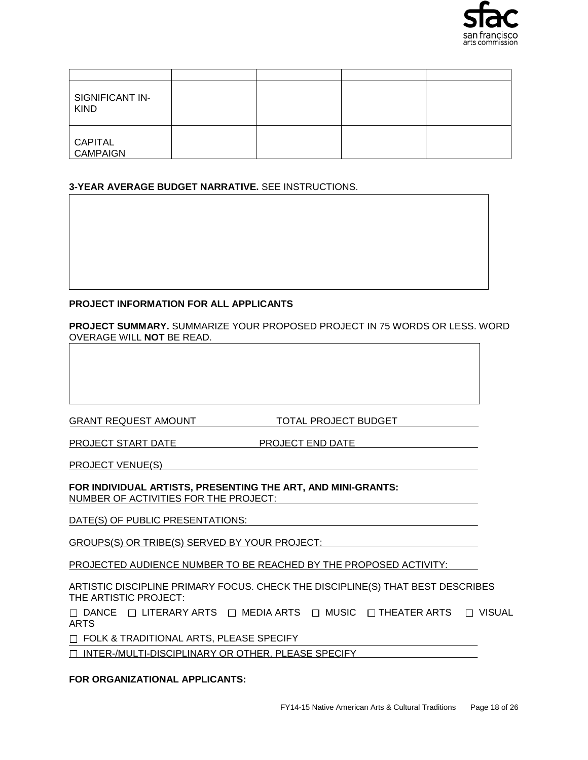

| SIGNIFICANT IN-<br><b>KIND</b>    |  |  |
|-----------------------------------|--|--|
| <b>CAPITAL</b><br><b>CAMPAIGN</b> |  |  |

#### **3-YEAR AVERAGE BUDGET NARRATIVE.** SEE INSTRUCTIONS.

#### **PROJECT INFORMATION FOR ALL APPLICANTS**

**PROJECT SUMMARY.** SUMMARIZE YOUR PROPOSED PROJECT IN 75 WORDS OR LESS. WORD OVERAGE WILL **NOT** BE READ.

GRANT REQUEST AMOUNT TOTAL PROJECT BUDGET

PROJECT START DATE PROJECT END DATE

PROJECT VENUE(S)

**FOR INDIVIDUAL ARTISTS, PRESENTING THE ART, AND MINI-GRANTS:** NUMBER OF ACTIVITIES FOR THE PROJECT:

DATE(S) OF PUBLIC PRESENTATIONS:

GROUPS(S) OR TRIBE(S) SERVED BY YOUR PROJECT:

PROJECTED AUDIENCE NUMBER TO BE REACHED BY THE PROPOSED ACTIVITY:

ARTISTIC DISCIPLINE PRIMARY FOCUS. CHECK THE DISCIPLINE(S) THAT BEST DESCRIBES THE ARTISTIC PROJECT:

 $\Box$  DANCE  $\Box$  LITERARY ARTS  $\Box$  MEDIA ARTS  $\Box$  MUSIC  $\Box$  THEATER ARTS  $\Box$  VISUAL ARTS

FOLK & TRADITIONAL ARTS, PLEASE SPECIFY

INTER-/MULTI-DISCIPLINARY OR OTHER, PLEASE SPECIFY

#### **FOR ORGANIZATIONAL APPLICANTS:**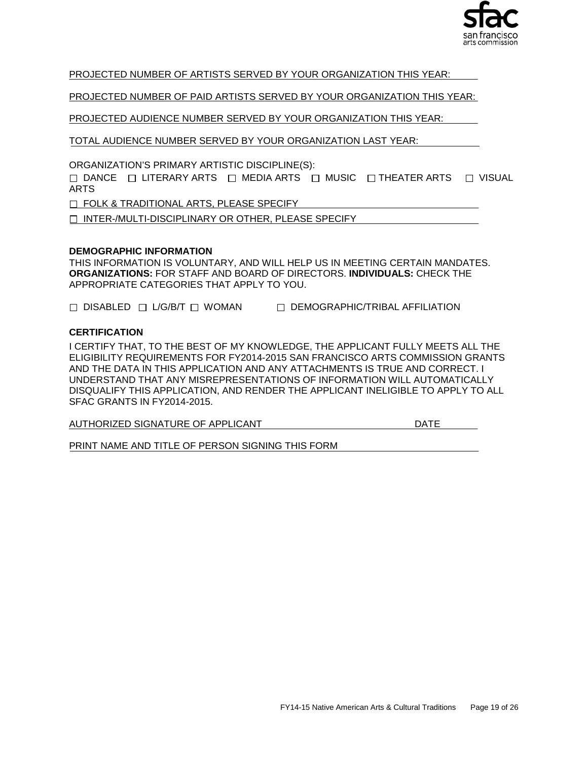

PROJECTED NUMBER OF ARTISTS SERVED BY YOUR ORGANIZATION THIS YEAR:

PROJECTED NUMBER OF PAID ARTISTS SERVED BY YOUR ORGANIZATION THIS YEAR:

PROJECTED AUDIENCE NUMBER SERVED BY YOUR ORGANIZATION THIS YEAR:

TOTAL AUDIENCE NUMBER SERVED BY YOUR ORGANIZATION LAST YEAR:

ORGANIZATION'S PRIMARY ARTISTIC DISCIPLINE(S):

 $\Box$  DANCE  $\Box$  LITERARY ARTS  $\Box$  MEDIA ARTS  $\Box$  MUSIC  $\Box$  THEATER ARTS  $\Box$  VISUAL ARTS

T FOLK & TRADITIONAL ARTS, PLEASE SPECIFY

□ INTER-/MULTI-DISCIPLINARY OR OTHER, PLEASE SPECIFY

#### **DEMOGRAPHIC INFORMATION**

THIS INFORMATION IS VOLUNTARY, AND WILL HELP US IN MEETING CERTAIN MANDATES. **ORGANIZATIONS:** FOR STAFF AND BOARD OF DIRECTORS. **INDIVIDUALS:** CHECK THE APPROPRIATE CATEGORIES THAT APPLY TO YOU.

□ DISABLED □ L/G/B/T □ WOMAN □ DEMOGRAPHIC/TRIBAL AFFILIATION

#### **CERTIFICATION**

I CERTIFY THAT, TO THE BEST OF MY KNOWLEDGE, THE APPLICANT FULLY MEETS ALL THE ELIGIBILITY REQUIREMENTS FOR FY2014-2015 SAN FRANCISCO ARTS COMMISSION GRANTS AND THE DATA IN THIS APPLICATION AND ANY ATTACHMENTS IS TRUE AND CORRECT. I UNDERSTAND THAT ANY MISREPRESENTATIONS OF INFORMATION WILL AUTOMATICALLY DISQUALIFY THIS APPLICATION, AND RENDER THE APPLICANT INELIGIBLE TO APPLY TO ALL SFAC GRANTS IN FY2014-2015.

AUTHORIZED SIGNATURE OF APPLICANTDATE

PRINT NAME AND TITLE OF PERSON SIGNING THIS FORM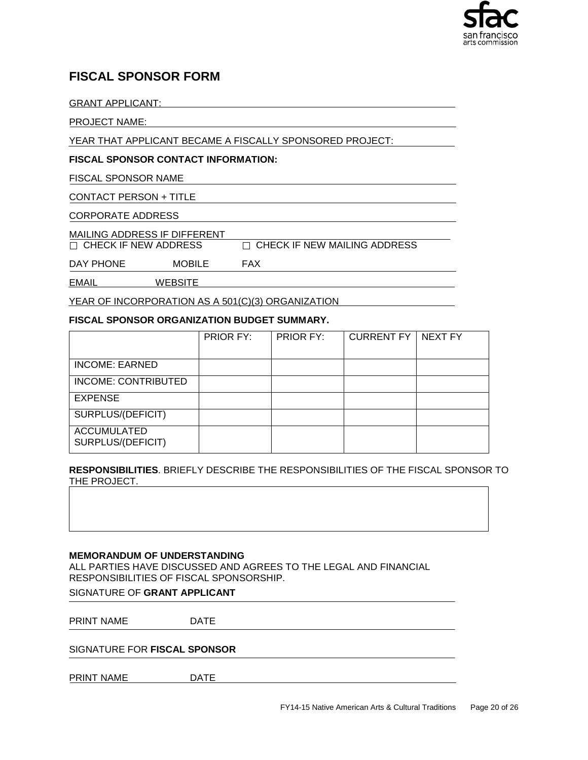

## **FISCAL SPONSOR FORM**

GRANT APPLICANT:

PROJECT NAME:

YEAR THAT APPLICANT BECAME A FISCALLY SPONSORED PROJECT:

#### **FISCAL SPONSOR CONTACT INFORMATION:**

FISCAL SPONSOR NAME

CONTACT PERSON + TITLE

CORPORATE ADDRESS

MAILING ADDRESS IF DIFFERENT<br>  $\Box$ CHECK IF NEW ADDRESS

 $\Box$  CHECK IF NEW MAILING ADDRESS

DAY PHONE MOBILE FAX

EMAIL WEBSITE

YEAR OF INCORPORATION AS A 501(C)(3) ORGANIZATION

#### **FISCAL SPONSOR ORGANIZATION BUDGET SUMMARY.**

|                                         | PRIOR FY: | PRIOR FY: | <b>CURRENT FY</b> | NEXT FY |
|-----------------------------------------|-----------|-----------|-------------------|---------|
|                                         |           |           |                   |         |
| <b>INCOME: EARNED</b>                   |           |           |                   |         |
| INCOME: CONTRIBUTED                     |           |           |                   |         |
| <b>EXPENSE</b>                          |           |           |                   |         |
| SURPLUS/(DEFICIT)                       |           |           |                   |         |
| <b>ACCUMULATED</b><br>SURPLUS/(DEFICIT) |           |           |                   |         |

**RESPONSIBILITIES**. BRIEFLY DESCRIBE THE RESPONSIBILITIES OF THE FISCAL SPONSOR TO THE PROJECT.

#### **MEMORANDUM OF UNDERSTANDING**

ALL PARTIES HAVE DISCUSSED AND AGREES TO THE LEGAL AND FINANCIAL RESPONSIBILITIES OF FISCAL SPONSORSHIP.

#### SIGNATURE OF **GRANT APPLICANT**

PRINT NAME DATE

SIGNATURE FOR **FISCAL SPONSOR** 

PRINT NAME DATE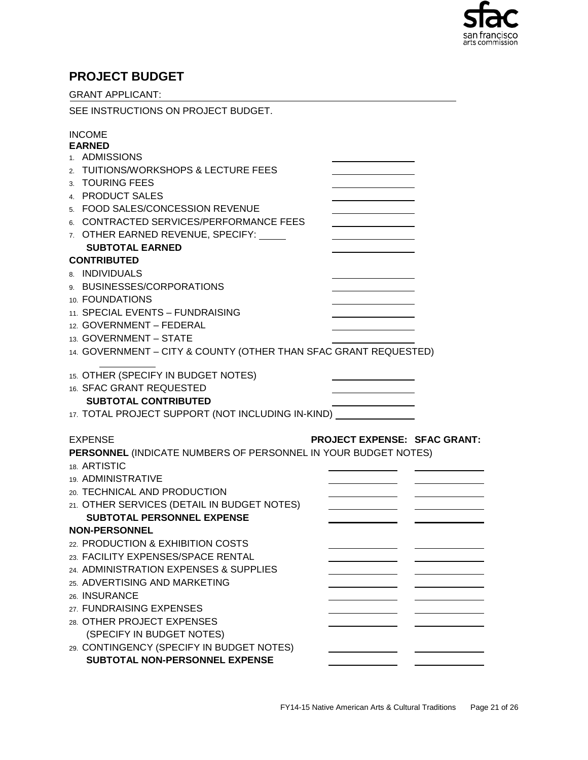

## **PROJECT BUDGET**

| <b>GRANT APPLICANT:</b>                                                      |                                     |
|------------------------------------------------------------------------------|-------------------------------------|
| SEE INSTRUCTIONS ON PROJECT BUDGET.                                          |                                     |
| <b>INCOME</b>                                                                |                                     |
| <b>EARNED</b>                                                                |                                     |
| 1. ADMISSIONS                                                                |                                     |
| 2. TUITIONS/WORKSHOPS & LECTURE FEES                                         |                                     |
| 3. TOURING FEES                                                              |                                     |
| 4. PRODUCT SALES                                                             |                                     |
| 5. FOOD SALES/CONCESSION REVENUE                                             |                                     |
| 6. CONTRACTED SERVICES/PERFORMANCE FEES<br>7. OTHER EARNED REVENUE, SPECIFY: |                                     |
| <b>SUBTOTAL EARNED</b>                                                       |                                     |
| <b>CONTRIBUTED</b>                                                           |                                     |
| 8. INDIVIDUALS                                                               |                                     |
| 9. BUSINESSES/CORPORATIONS                                                   |                                     |
| 10. FOUNDATIONS                                                              |                                     |
| 11. SPECIAL EVENTS - FUNDRAISING                                             |                                     |
| 12. GOVERNMENT - FEDERAL                                                     |                                     |
| 13. GOVERNMENT - STATE                                                       |                                     |
| 14. GOVERNMENT - CITY & COUNTY (OTHER THAN SFAC GRANT REQUESTED)             |                                     |
| 15. OTHER (SPECIFY IN BUDGET NOTES)                                          |                                     |
| 16. SFAC GRANT REQUESTED                                                     |                                     |
| <b>SUBTOTAL CONTRIBUTED</b>                                                  |                                     |
| 17. TOTAL PROJECT SUPPORT (NOT INCLUDING IN-KIND) _______________            |                                     |
|                                                                              |                                     |
| <b>EXPENSE</b>                                                               | <b>PROJECT EXPENSE: SFAC GRANT:</b> |
| PERSONNEL (INDICATE NUMBERS OF PERSONNEL IN YOUR BUDGET NOTES)               |                                     |
| 18. ARTISTIC                                                                 |                                     |
| 19. ADMINISTRATIVE                                                           |                                     |
| 20. TECHNICAL AND PRODUCTION                                                 |                                     |
| 21. OTHER SERVICES (DETAIL IN BUDGET NOTES)                                  | $\frac{1}{2}$                       |
| <b>SUBTOTAL PERSONNEL EXPENSE</b>                                            |                                     |
| <b>NON-PERSONNEL</b>                                                         |                                     |
| 22. PRODUCTION & EXHIBITION COSTS                                            |                                     |
| 23. FACILITY EXPENSES/SPACE RENTAL                                           |                                     |
| 24. ADMINISTRATION EXPENSES & SUPPLIES                                       |                                     |
| 25. ADVERTISING AND MARKETING                                                |                                     |
| 26. INSURANCE                                                                |                                     |
| 27. FUNDRAISING EXPENSES                                                     |                                     |
| 28. OTHER PROJECT EXPENSES                                                   |                                     |
| (SPECIFY IN BUDGET NOTES)                                                    |                                     |
| 29. CONTINGENCY (SPECIFY IN BUDGET NOTES)<br>SUBTOTAL NON-PERSONNEL EXPENSE  |                                     |
|                                                                              |                                     |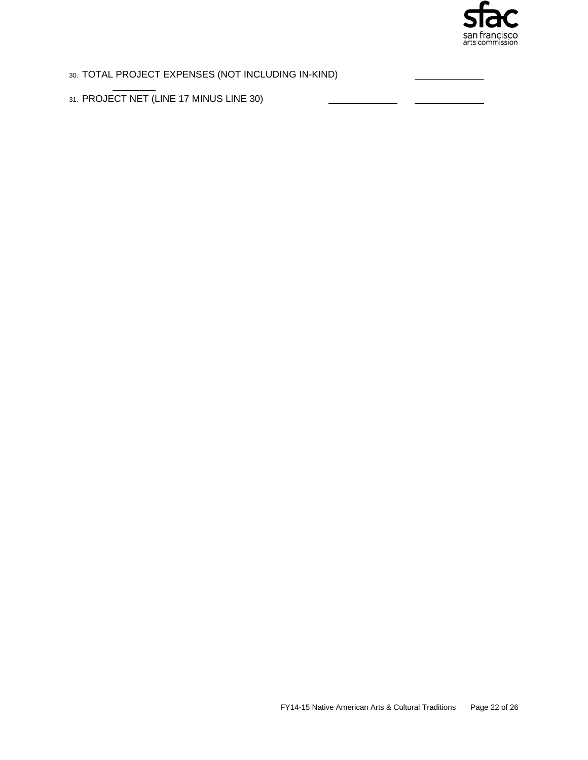

## 30. TOTAL PROJECT EXPENSES (NOT INCLUDING IN-KIND)

31. PROJECT NET (LINE 17 MINUS LINE 30)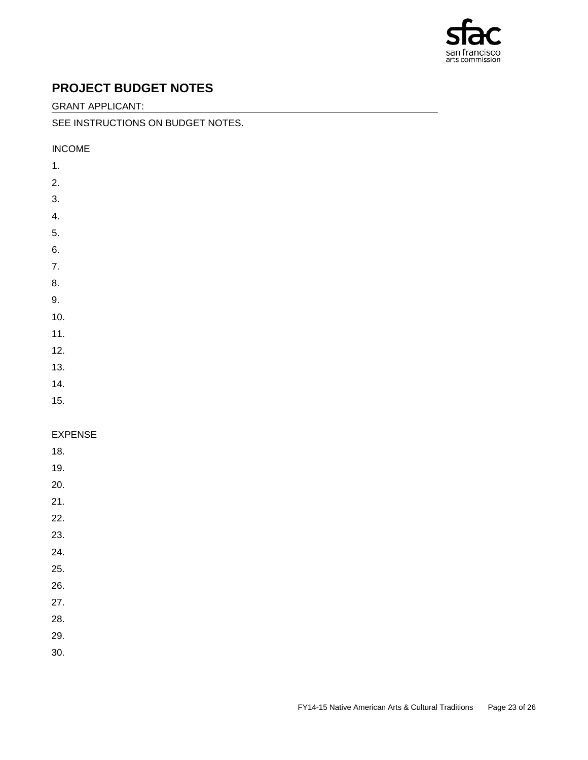

## **PROJECT BUDGET NOTES**

GRANT APPLICANT:

#### SEE INSTRUCTIONS ON BUDGET NOTES.

INCOME

- 1.
- 2.
- 3.
- 4.
- 5.
- 6.
- 
- 7.
- 8.
- 9.
- 10.
- 11.
- 12.
- 13.
- 14.
- 15.

## EXPENSE

- 18.
- 19.
- 20.
- 21.
- 22.
- 23.
- 24.
- 25.
- 26.
- 27.
- 28.
- 29.
- 30.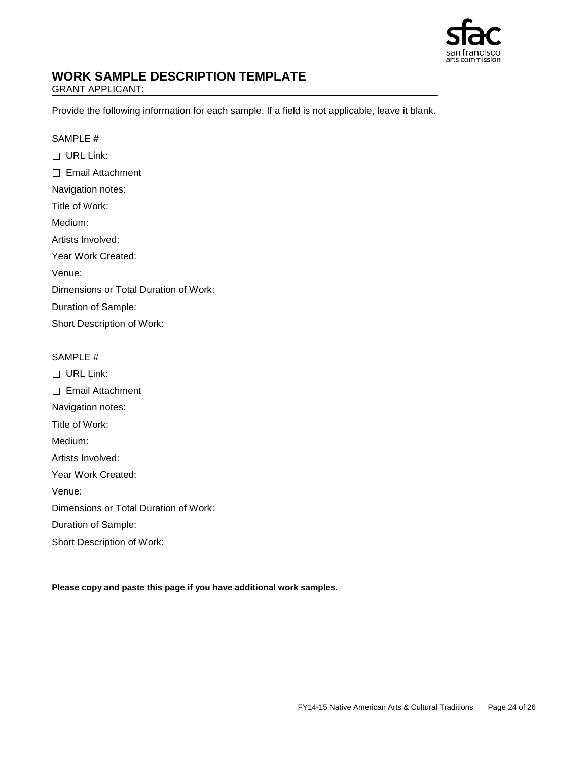

## **WORK SAMPLE DESCRIPTION TEMPLATE**

GRANT APPLICANT:

Provide the following information for each sample. If a field is not applicable, leave it blank.

#### SAMPLE #

□ URL Link: □ Email Attachment Navigation notes: Title of Work: Medium: Artists Involved: Year Work Created: Venue: Dimensions or Total Duration of Work: Duration of Sample:

Short Description of Work:

#### SAMPLE #

□ URL Link: □ Email Attachment

Navigation notes:

Title of Work:

Medium:

Artists Involved:

Year Work Created:

Venue:

Dimensions or Total Duration of Work:

Duration of Sample:

Short Description of Work:

**Please copy and paste this page if you have additional work samples.**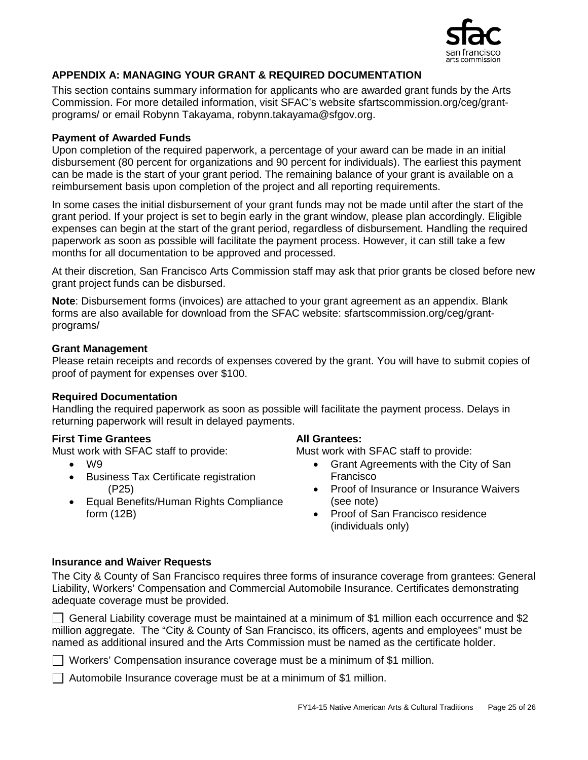

## **APPENDIX A: MANAGING YOUR GRANT & REQUIRED DOCUMENTATION**

This section contains summary information for applicants who are awarded grant funds by the Arts Commission. For more detailed information, visit SFAC's website sfartscommission.org/ceg/grantprograms/ or email Robynn Takayama, robynn.takayama@sfgov.org.

## **Payment of Awarded Funds**

Upon completion of the required paperwork, a percentage of your award can be made in an initial disbursement (80 percent for organizations and 90 percent for individuals). The earliest this payment can be made is the start of your grant period. The remaining balance of your grant is available on a reimbursement basis upon completion of the project and all reporting requirements.

In some cases the initial disbursement of your grant funds may not be made until after the start of the grant period. If your project is set to begin early in the grant window, please plan accordingly. Eligible expenses can begin at the start of the grant period, regardless of disbursement. Handling the required paperwork as soon as possible will facilitate the payment process. However, it can still take a few months for all documentation to be approved and processed.

At their discretion, San Francisco Arts Commission staff may ask that prior grants be closed before new grant project funds can be disbursed.

**Note**: Disbursement forms (invoices) are attached to your grant agreement as an appendix. Blank forms are also available for download from the SFAC website: sfartscommission.org/ceg/grantprograms/

#### **Grant Management**

Please retain receipts and records of expenses covered by the grant. You will have to submit copies of proof of payment for expenses over \$100.

## **Required Documentation**

Handling the required paperwork as soon as possible will facilitate the payment process. Delays in returning paperwork will result in delayed payments.

## **First Time Grantees**

Must work with SFAC staff to provide:

- W9
- Business Tax Certificate registration (P25)
- Equal Benefits/Human Rights Compliance form (12B)

#### **All Grantees:**

Must work with SFAC staff to provide:

- Grant Agreements with the City of San Francisco
- Proof of Insurance or Insurance Waivers (see note)
- Proof of San Francisco residence (individuals only)

## **Insurance and Waiver Requests**

The City & County of San Francisco requires three forms of insurance coverage from grantees: General Liability, Workers' Compensation and Commercial Automobile Insurance. Certificates demonstrating adequate coverage must be provided.

General Liability coverage must be maintained at a minimum of \$1 million each occurrence and \$2 million aggregate. The "City & County of San Francisco, its officers, agents and employees" must be named as additional insured and the Arts Commission must be named as the certificate holder.

Workers' Compensation insurance coverage must be a minimum of \$1 million.

 $\Box$  Automobile Insurance coverage must be at a minimum of \$1 million.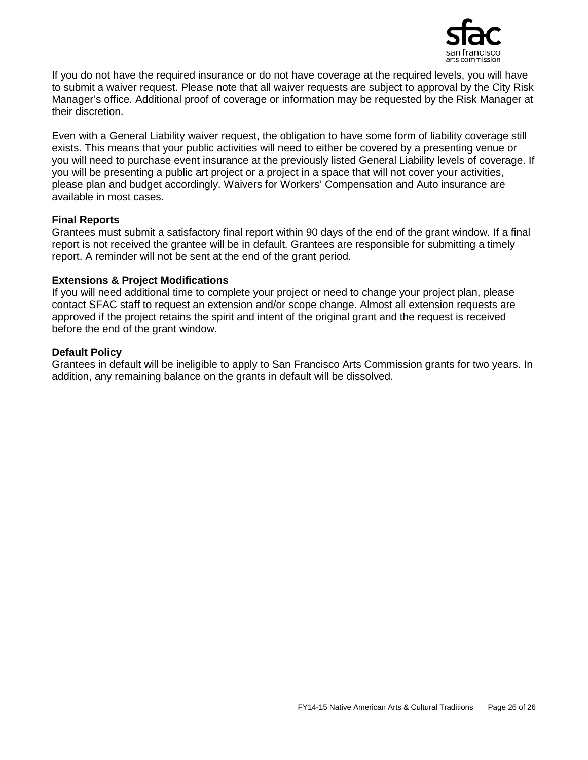

If you do not have the required insurance or do not have coverage at the required levels, you will have to submit a waiver request. Please note that all waiver requests are subject to approval by the City Risk Manager's office. Additional proof of coverage or information may be requested by the Risk Manager at their discretion.

Even with a General Liability waiver request, the obligation to have some form of liability coverage still exists. This means that your public activities will need to either be covered by a presenting venue or you will need to purchase event insurance at the previously listed General Liability levels of coverage. If you will be presenting a public art project or a project in a space that will not cover your activities, please plan and budget accordingly. Waivers for Workers' Compensation and Auto insurance are available in most cases.

#### **Final Reports**

Grantees must submit a satisfactory final report within 90 days of the end of the grant window. If a final report is not received the grantee will be in default. Grantees are responsible for submitting a timely report. A reminder will not be sent at the end of the grant period.

#### **Extensions & Project Modifications**

If you will need additional time to complete your project or need to change your project plan, please contact SFAC staff to request an extension and/or scope change. Almost all extension requests are approved if the project retains the spirit and intent of the original grant and the request is received before the end of the grant window.

#### **Default Policy**

Grantees in default will be ineligible to apply to San Francisco Arts Commission grants for two years. In addition, any remaining balance on the grants in default will be dissolved.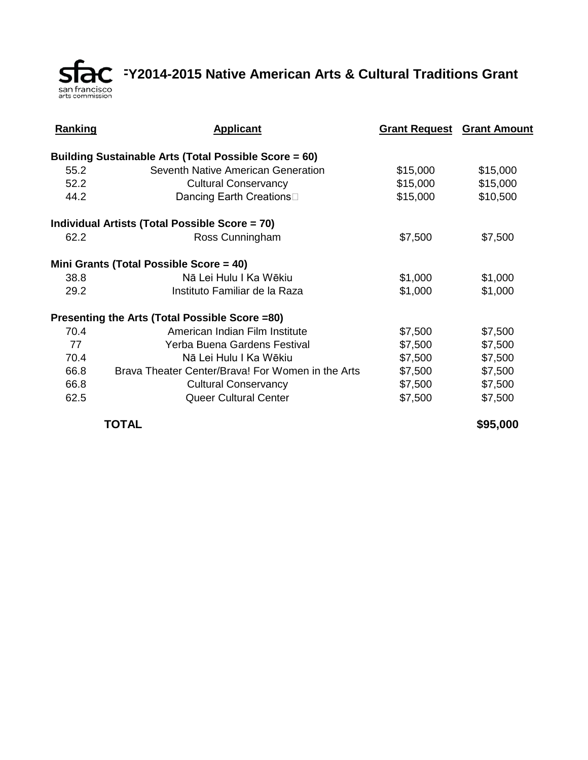**FRC** FY2014-2015 Native American Arts & Cultural Traditions Grant

| <b>Ranking</b> | <b>Applicant</b>                                             | <b>Grant Request Grant Amount</b> |          |
|----------------|--------------------------------------------------------------|-----------------------------------|----------|
|                | <b>Building Sustainable Arts (Total Possible Score = 60)</b> |                                   |          |
| 55.2           | Seventh Native American Generation                           | \$15,000                          | \$15,000 |
| 52.2           | <b>Cultural Conservancy</b>                                  | \$15,000                          | \$15,000 |
| 44.2           | Dancing Earth Creations                                      | \$15,000                          | \$10,500 |
|                | Individual Artists (Total Possible Score = 70)               |                                   |          |
| 62.2           | Ross Cunningham                                              | \$7,500                           | \$7,500  |
|                | Mini Grants (Total Possible Score = 40)                      |                                   |          |
| 38.8           | Nā Lei Hulu I Ka Wēkiu                                       | \$1,000                           | \$1,000  |
| 29.2           | Instituto Familiar de la Raza                                | \$1,000                           | \$1,000  |
|                | Presenting the Arts (Total Possible Score =80)               |                                   |          |
| 70.4           | American Indian Film Institute                               | \$7,500                           | \$7,500  |
| 77             | Yerba Buena Gardens Festival                                 | \$7,500                           | \$7,500  |
| 70.4           | Nā Lei Hulu I Ka Wēkiu                                       | \$7,500                           | \$7,500  |
| 66.8           | Brava Theater Center/Brava! For Women in the Arts            | \$7,500                           | \$7,500  |
| 66.8           | <b>Cultural Conservancy</b>                                  | \$7,500                           | \$7,500  |
| 62.5           | Queer Cultural Center                                        | \$7,500                           | \$7,500  |

**TOTAL \$95,000**

san francisco<br>arts commission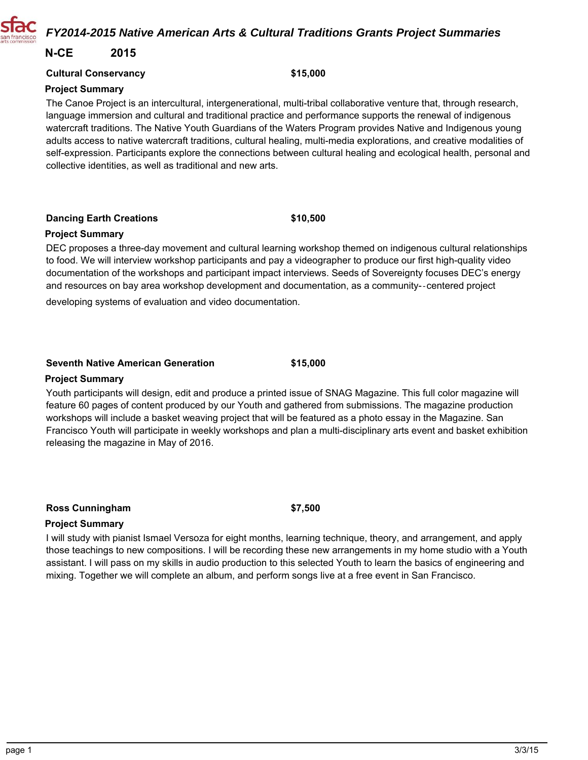## *FY2014-2015 Native American Arts & Cultural Traditions Grants Project Summaries*

## **N-CE 2015**

#### **Cultural Conservancy**

#### **Project Summary**

The Canoe Project is an intercultural, intergenerational, multi-tribal collaborative venture that, through research, language immersion and cultural and traditional practice and performance supports the renewal of indigenous watercraft traditions. The Native Youth Guardians of the Waters Program provides Native and Indigenous young adults access to native watercraft traditions, cultural healing, multi-media explorations, and creative modalities of self-expression. Participants explore the connections between cultural healing and ecological health, personal and collective identities, as well as traditional and new arts.

**Dancing Earth Creations**

#### **Project Summary**

DEC proposes a three-day movement and cultural learning workshop themed on indigenous cultural relationships to food. We will interview workshop participants and pay a videographer to produce our first high-quality video documentation of the workshops and participant impact interviews. Seeds of Sovereignty focuses DEC's energy and resources on bay area workshop development and documentation, as a community-centered project

developing systems of evaluation and video documentation.

#### **Seventh Native American Generation**

#### **Project Summary**

Youth participants will design, edit and produce a printed issue of SNAG Magazine. This full color magazine will feature 60 pages of content produced by our Youth and gathered from submissions. The magazine production workshops will include a basket weaving project that will be featured as a photo essay in the Magazine. San Francisco Youth will participate in weekly workshops and plan a multi-disciplinary arts event and basket exhibition releasing the magazine in May of 2016.

**\$15,000**

#### **Ross Cunningham**

**\$7,500**

#### **Project Summary**

I will study with pianist Ismael Versoza for eight months, learning technique, theory, and arrangement, and apply those teachings to new compositions. I will be recording these new arrangements in my home studio with a Youth assistant. I will pass on my skills in audio production to this selected Youth to learn the basics of engineering and mixing. Together we will complete an album, and perform songs live at a free event in San Francisco.



## **\$10,500**

**\$15,000**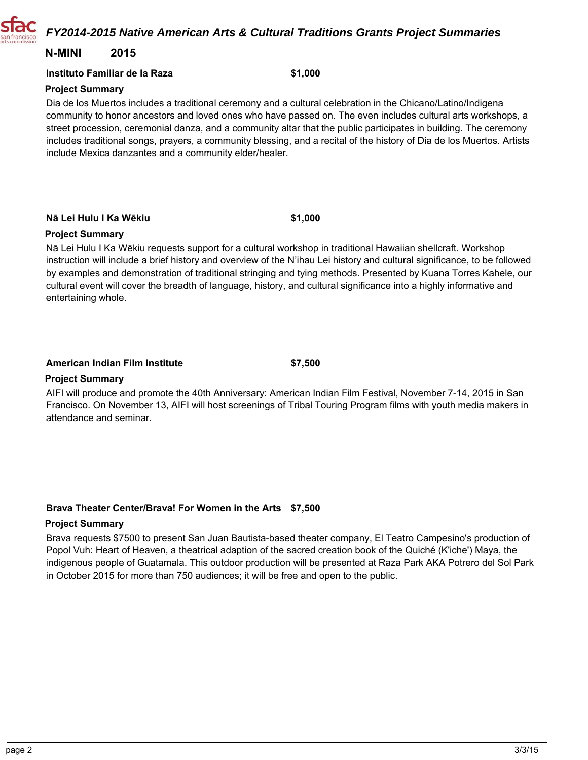*FY2014-2015 Native American Arts & Cultural Traditions Grants Project Summaries*

## **N-MINI 2015**

#### **Instituto Familiar de la Raza**

#### **Project Summary**

Dia de los Muertos includes a traditional ceremony and a cultural celebration in the Chicano/Latino/Indigena community to honor ancestors and loved ones who have passed on. The even includes cultural arts workshops, a street procession, ceremonial danza, and a community altar that the public participates in building. The ceremony includes traditional songs, prayers, a community blessing, and a recital of the history of Dia de los Muertos. Artists include Mexica danzantes and a community elder/healer.

**Nā Lei Hulu I Ka Wēkiu**

#### **Project Summary**

Nā Lei Hulu I Ka Wēkiu requests support for a cultural workshop in traditional Hawaiian shellcraft. Workshop instruction will include a brief history and overview of the N'ihau Lei history and cultural significance, to be followed by examples and demonstration of traditional stringing and tying methods. Presented by Kuana Torres Kahele, our cultural event will cover the breadth of language, history, and cultural significance into a highly informative and entertaining whole.

#### **American Indian Film Institute**

**Project Summary**

AIFI will produce and promote the 40th Anniversary: American Indian Film Festival, November 7-14, 2015 in San Francisco. On November 13, AIFI will host screenings of Tribal Touring Program films with youth media makers in attendance and seminar.

**\$7,500**

#### **Brava Theater Center/Brava! For Women in the Arts \$7,500**

#### **Project Summary**

Brava requests \$7500 to present San Juan Bautista-based theater company, El Teatro Campesino's production of Popol Vuh: Heart of Heaven, a theatrical adaption of the sacred creation book of the Quiché (K'iche') Maya, the indigenous people of Guatamala. This outdoor production will be presented at Raza Park AKA Potrero del Sol Park in October 2015 for more than 750 audiences; it will be free and open to the public.



**\$1,000**

**\$1,000**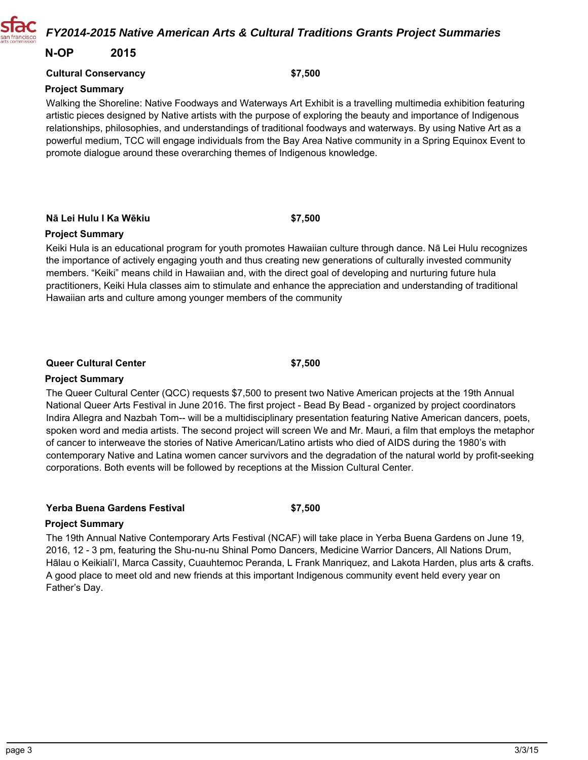## *FY2014-2015 Native American Arts & Cultural Traditions Grants Project Summaries*

## **N-OP 2015**

#### **Cultural Conservancy**

#### **Project Summary**

Walking the Shoreline: Native Foodways and Waterways Art Exhibit is a travelling multimedia exhibition featuring artistic pieces designed by Native artists with the purpose of exploring the beauty and importance of Indigenous relationships, philosophies, and understandings of traditional foodways and waterways. By using Native Art as a powerful medium, TCC will engage individuals from the Bay Area Native community in a Spring Equinox Event to promote dialogue around these overarching themes of Indigenous knowledge.

**Nā Lei Hulu I Ka Wēkiu**

#### **Project Summary**

Keiki Hula is an educational program for youth promotes Hawaiian culture through dance. Nā Lei Hulu recognizes the importance of actively engaging youth and thus creating new generations of culturally invested community members. "Keiki" means child in Hawaiian and, with the direct goal of developing and nurturing future hula practitioners, Keiki Hula classes aim to stimulate and enhance the appreciation and understanding of traditional Hawaiian arts and culture among younger members of the community

## **Queer Cultural Center**

#### **Project Summary**

The Queer Cultural Center (QCC) requests \$7,500 to present two Native American projects at the 19th Annual National Queer Arts Festival in June 2016. The first project - Bead By Bead - organized by project coordinators Indira Allegra and Nazbah Tom-- will be a multidisciplinary presentation featuring Native American dancers, poets, spoken word and media artists. The second project will screen We and Mr. Mauri, a film that employs the metaphor of cancer to interweave the stories of Native American/Latino artists who died of AIDS during the 1980's with contemporary Native and Latina women cancer survivors and the degradation of the natural world by profit-seeking corporations. Both events will be followed by receptions at the Mission Cultural Center.

**\$7,500**

#### **Yerba Buena Gardens Festival**

**\$7,500**

#### **Project Summary**

The 19th Annual Native Contemporary Arts Festival (NCAF) will take place in Yerba Buena Gardens on June 19, 2016, 12 - 3 pm, featuring the Shu-nu-nu Shinal Pomo Dancers, Medicine Warrior Dancers, All Nations Drum, Hālau o Keikiali'I, Marca Cassity, Cuauhtemoc Peranda, L Frank Manriquez, and Lakota Harden, plus arts & crafts. A good place to meet old and new friends at this important Indigenous community event held every year on Father's Day.

**\$7,500**



**\$7,500**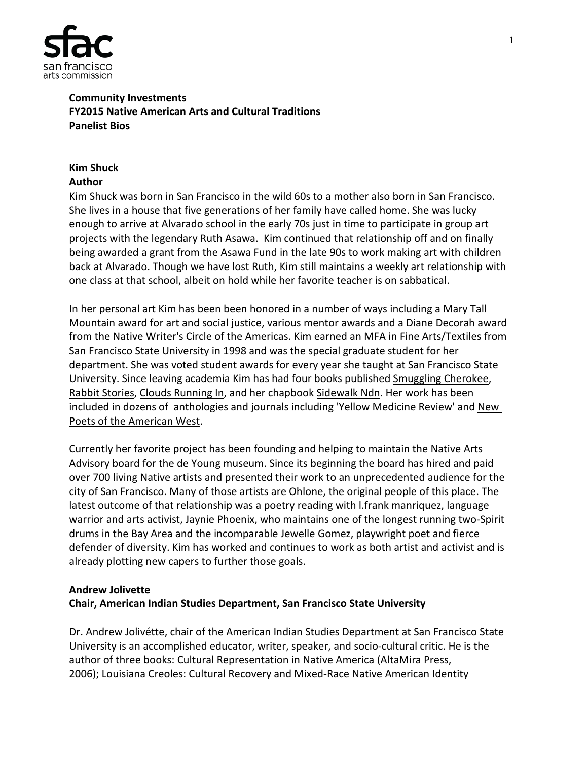

## **Community Investments FY2015 Native American Arts and Cultural Traditions Panelist Bios**

#### **Kim Shuck Author**

Kim Shuck was born in San Francisco in the wild 60s to a mother also born in San Francisco. She lives in a house that five generations of her family have called home. She was lucky enough to arrive at Alvarado school in the early 70s just in time to participate in group art projects with the legendary Ruth Asawa. Kim continued that relationship off and on finally being awarded a grant from the Asawa Fund in the late 90s to work making art with children back at Alvarado. Though we have lost Ruth, Kim still maintains a weekly art relationship with one class at that school, albeit on hold while her favorite teacher is on sabbatical.

In her personal art Kim has been been honored in a number of ways including a Mary Tall Mountain award for art and social justice, various mentor awards and a Diane Decorah award from the Native Writer's Circle of the Americas. Kim earned an MFA in Fine Arts/Textiles from San Francisco State University in 1998 and was the special graduate student for her department. She was voted student awards for every year she taught at San Francisco State University. Since leaving academia Kim has had four books published Smuggling Cherokee, Rabbit Stories, Clouds Running In, and her chapbook Sidewalk Ndn. Her work has been included in dozens of anthologies and journals including 'Yellow Medicine Review' and New Poets of the American West.

Currently her favorite project has been founding and helping to maintain the Native Arts Advisory board for the de Young museum. Since its beginning the board has hired and paid over 700 living Native artists and presented their work to an unprecedented audience for the city of San Francisco. Many of those artists are Ohlone, the original people of this place. The latest outcome of that relationship was a poetry reading with l.frank manriquez, language warrior and arts activist, Jaynie Phoenix, who maintains one of the longest running two-Spirit drums in the Bay Area and the incomparable Jewelle Gomez, playwright poet and fierce defender of diversity. Kim has worked and continues to work as both artist and activist and is already plotting new capers to further those goals.

## **Andrew Jolivette**

## **Chair, American Indian Studies Department, San Francisco State University**

Dr. Andrew Jolivétte, chair of the American Indian Studies Department at San Francisco State University is an accomplished educator, writer, speaker, and socio-cultural critic. He is the author of three books: Cultural Representation in Native America (AltaMira Press, 2006); Louisiana Creoles: Cultural Recovery and Mixed-Race Native American Identity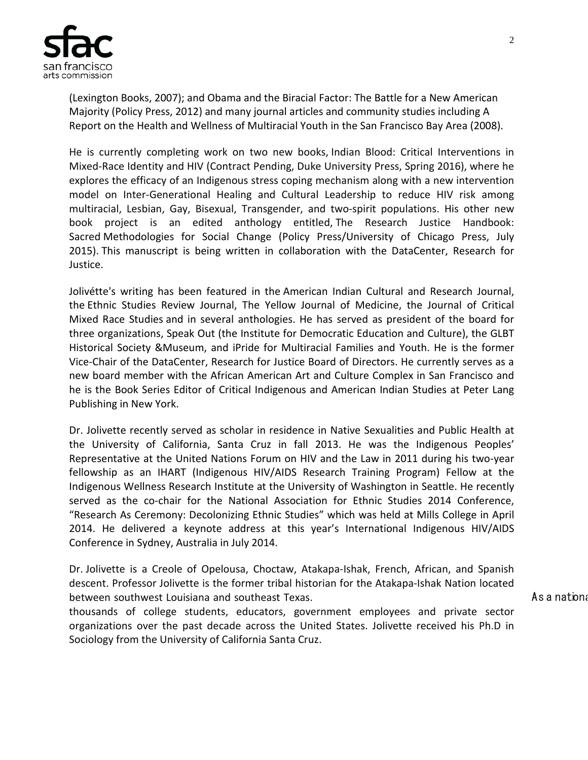

(Lexington Books, 2007); and Obama and the Biracial Factor: The Battle for a New American Majority (Policy Press, 2012) and many journal articles and community studies including A Report on the Health and Wellness of Multiracial Youth in the San Francisco Bay Area (2008).

He is currently completing work on two new books, Indian Blood: Critical Interventions in Mixed-Race Identity and HIV (Contract Pending, Duke University Press, Spring 2016), where he explores the efficacy of an Indigenous stress coping mechanism along with a new intervention model on Inter-Generational Healing and Cultural Leadership to reduce HIV risk among multiracial, Lesbian, Gay, Bisexual, Transgender, and two-spirit populations. His other new book project is an edited anthology entitled, The Research Justice Handbook: Sacred Methodologies for Social Change (Policy Press/University of Chicago Press, July 2015). This manuscript is being written in collaboration with the DataCenter, Research for Justice.

Jolivétte's writing has been featured in the American Indian Cultural and Research Journal, the Ethnic Studies Review Journal, The Yellow Journal of Medicine, the Journal of Critical Mixed Race Studies and in several anthologies. He has served as president of the board for three organizations, Speak Out (the Institute for Democratic Education and Culture), the GLBT Historical Society &Museum, and iPride for Multiracial Families and Youth. He is the former Vice-Chair of the DataCenter, Research for Justice Board of Directors. He currently serves as a new board member with the African American Art and Culture Complex in San Francisco and he is the Book Series Editor of Critical Indigenous and American Indian Studies at Peter Lang Publishing in New York.

Dr. Jolivette recently served as scholar in residence in Native Sexualities and Public Health at the University of California, Santa Cruz in fall 2013. He was the Indigenous Peoples' Representative at the United Nations Forum on HIV and the Law in 2011 during his two-year fellowship as an IHART (Indigenous HIV/AIDS Research Training Program) Fellow at the Indigenous Wellness Research Institute at the University of Washington in Seattle. He recently served as the co-chair for the National Association for Ethnic Studies 2014 Conference, "Research As Ceremony: Decolonizing Ethnic Studies" which was held at Mills College in April 2014. He delivered a keynote address at this year's International Indigenous HIV/AIDS Conference in Sydney, Australia in July 2014.

Dr. Jolivette is a Creole of Opelousa, Choctaw, Atakapa-Ishak, French, African, and Spanish descent. Professor Jolivette is the former tribal historian for the Atakapa-Ishak Nation located between southwest Louisiana and southeast Texas. The contract of the contract of the As a national

thousands of college students, educators, government employees and private sector organizations over the past decade across the United States. Jolivette received his Ph.D in Sociology from the University of California Santa Cruz.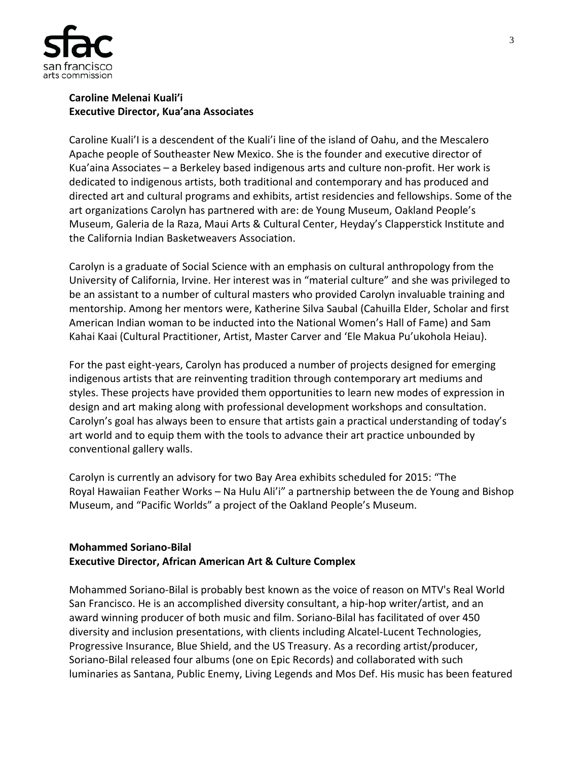

## **Caroline Melenai Kuali'i Executive Director, Kua'ana Associates**

Caroline Kuali'I is a descendent of the Kuali'i line of the island of Oahu, and the Mescalero Apache people of Southeaster New Mexico. She is the founder and executive director of Kua'aina Associates – a Berkeley based indigenous arts and culture non-profit. Her work is dedicated to indigenous artists, both traditional and contemporary and has produced and directed art and cultural programs and exhibits, artist residencies and fellowships. Some of the art organizations Carolyn has partnered with are: de Young Museum, Oakland People's Museum, Galeria de la Raza, Maui Arts & Cultural Center, Heyday's Clapperstick Institute and the California Indian Basketweavers Association.

Carolyn is a graduate of Social Science with an emphasis on cultural anthropology from the University of California, Irvine. Her interest was in "material culture" and she was privileged to be an assistant to a number of cultural masters who provided Carolyn invaluable training and mentorship. Among her mentors were, Katherine Silva Saubal (Cahuilla Elder, Scholar and first American Indian woman to be inducted into the National Women's Hall of Fame) and Sam Kahai Kaai (Cultural Practitioner, Artist, Master Carver and 'Ele Makua Pu'ukohola Heiau).

For the past eight-years, Carolyn has produced a number of projects designed for emerging indigenous artists that are reinventing tradition through contemporary art mediums and styles. These projects have provided them opportunities to learn new modes of expression in design and art making along with professional development workshops and consultation. Carolyn's goal has always been to ensure that artists gain a practical understanding of today's art world and to equip them with the tools to advance their art practice unbounded by conventional gallery walls.

Carolyn is currently an advisory for two Bay Area exhibits scheduled for 2015: "The Royal Hawaiian Feather Works – Na Hulu Ali'i" a partnership between the de Young and Bishop Museum, and "Pacific Worlds" a project of the Oakland People's Museum.

## **Mohammed Soriano-Bilal Executive Director, African American Art & Culture Complex**

Mohammed Soriano-Bilal is probably best known as the voice of reason on MTV's Real World San Francisco. He is an accomplished diversity consultant, a hip-hop writer/artist, and an award winning producer of both music and film. Soriano-Bilal has facilitated of over 450 diversity and inclusion presentations, with clients including Alcatel-Lucent Technologies, Progressive Insurance, Blue Shield, and the US Treasury. As a recording artist/producer, Soriano-Bilal released four albums (one on Epic Records) and collaborated with such luminaries as Santana, Public Enemy, Living Legends and Mos Def. His music has been featured